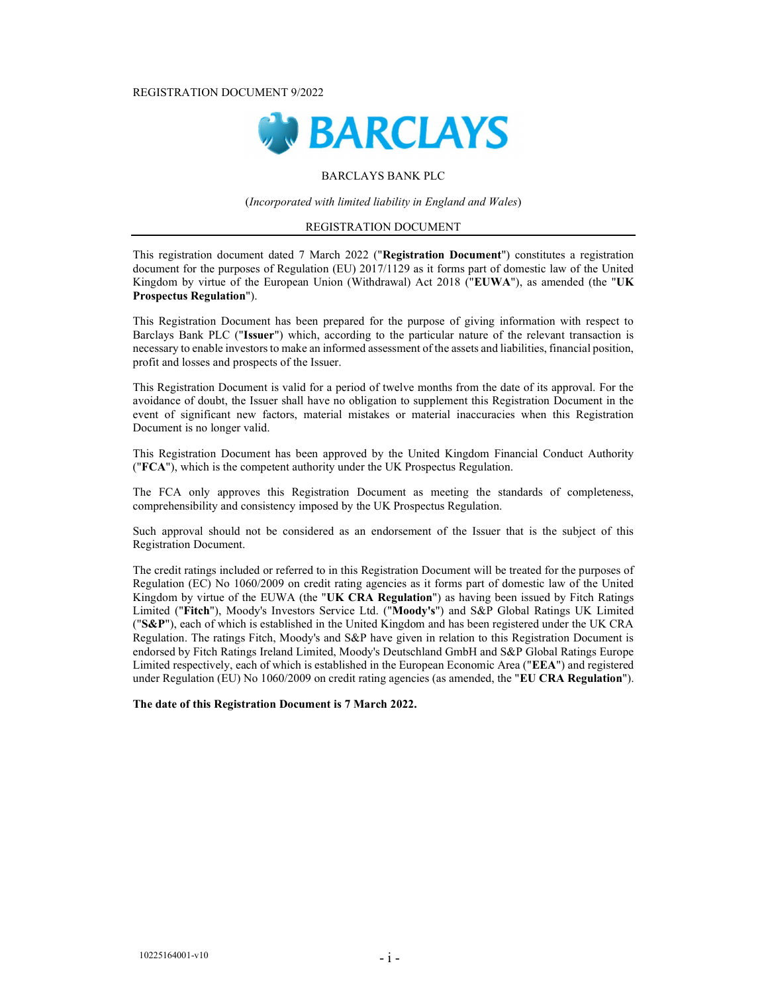REGISTRATION DOCUMENT 9/2022



### BARCLAYS BANK PLC

(Incorporated with limited liability in England and Wales)

### REGISTRATION DOCUMENT

This registration document dated 7 March 2022 ("Registration Document") constitutes a registration document for the purposes of Regulation (EU) 2017/1129 as it forms part of domestic law of the United Kingdom by virtue of the European Union (Withdrawal) Act 2018 ("EUWA"), as amended (the "UK Prospectus Regulation").

This Registration Document has been prepared for the purpose of giving information with respect to Barclays Bank PLC ("Issuer") which, according to the particular nature of the relevant transaction is necessary to enable investors to make an informed assessment of the assets and liabilities, financial position, profit and losses and prospects of the Issuer.

This Registration Document is valid for a period of twelve months from the date of its approval. For the avoidance of doubt, the Issuer shall have no obligation to supplement this Registration Document in the event of significant new factors, material mistakes or material inaccuracies when this Registration Document is no longer valid.

This Registration Document has been approved by the United Kingdom Financial Conduct Authority ("FCA"), which is the competent authority under the UK Prospectus Regulation.

The FCA only approves this Registration Document as meeting the standards of completeness, comprehensibility and consistency imposed by the UK Prospectus Regulation.

Such approval should not be considered as an endorsement of the Issuer that is the subject of this Registration Document.

The credit ratings included or referred to in this Registration Document will be treated for the purposes of Regulation (EC) No 1060/2009 on credit rating agencies as it forms part of domestic law of the United Kingdom by virtue of the EUWA (the "UK CRA Regulation") as having been issued by Fitch Ratings Limited ("Fitch"), Moody's Investors Service Ltd. ("Moody's") and S&P Global Ratings UK Limited ("S&P"), each of which is established in the United Kingdom and has been registered under the UK CRA Regulation. The ratings Fitch, Moody's and S&P have given in relation to this Registration Document is endorsed by Fitch Ratings Ireland Limited, Moody's Deutschland GmbH and S&P Global Ratings Europe Limited respectively, each of which is established in the European Economic Area ("EEA") and registered under Regulation (EU) No 1060/2009 on credit rating agencies (as amended, the "EU CRA Regulation").

The date of this Registration Document is 7 March 2022.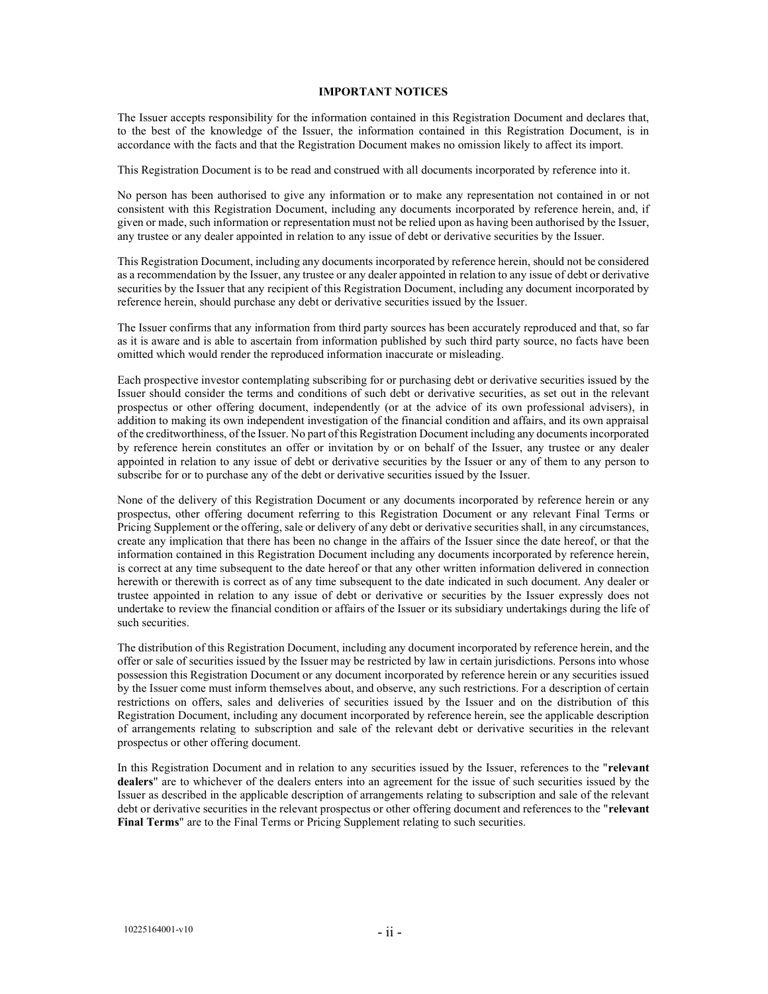#### IMPORTANT NOTICES

The Issuer accepts responsibility for the information contained in this Registration Document and declares that, to the best of the knowledge of the Issuer, the information contained in this Registration Document, is in accordance with the facts and that the Registration Document makes no omission likely to affect its import.

This Registration Document is to be read and construed with all documents incorporated by reference into it.

No person has been authorised to give any information or to make any representation not contained in or not consistent with this Registration Document, including any documents incorporated by reference herein, and, if given or made, such information or representation must not be relied upon as having been authorised by the Issuer, any trustee or any dealer appointed in relation to any issue of debt or derivative securities by the Issuer.

This Registration Document, including any documents incorporated by reference herein, should not be considered as a recommendation by the Issuer, any trustee or any dealer appointed in relation to any issue of debt or derivative securities by the Issuer that any recipient of this Registration Document, including any document incorporated by reference herein, should purchase any debt or derivative securities issued by the Issuer.

The Issuer confirms that any information from third party sources has been accurately reproduced and that, so far as it is aware and is able to ascertain from information published by such third party source, no facts have been omitted which would render the reproduced information inaccurate or misleading.

Each prospective investor contemplating subscribing for or purchasing debt or derivative securities issued by the Issuer should consider the terms and conditions of such debt or derivative securities, as set out in the relevant prospectus or other offering document, independently (or at the advice of its own professional advisers), in addition to making its own independent investigation of the financial condition and affairs, and its own appraisal of the creditworthiness, of the Issuer. No part of this Registration Document including any documents incorporated by reference herein constitutes an offer or invitation by or on behalf of the Issuer, any trustee or any dealer appointed in relation to any issue of debt or derivative securities by the Issuer or any of them to any person to subscribe for or to purchase any of the debt or derivative securities issued by the Issuer.

None of the delivery of this Registration Document or any documents incorporated by reference herein or any prospectus, other offering document referring to this Registration Document or any relevant Final Terms or Pricing Supplement or the offering, sale or delivery of any debt or derivative securities shall, in any circumstances, create any implication that there has been no change in the affairs of the Issuer since the date hereof, or that the information contained in this Registration Document including any documents incorporated by reference herein, is correct at any time subsequent to the date hereof or that any other written information delivered in connection herewith or therewith is correct as of any time subsequent to the date indicated in such document. Any dealer or trustee appointed in relation to any issue of debt or derivative or securities by the Issuer expressly does not undertake to review the financial condition or affairs of the Issuer or its subsidiary undertakings during the life of such securities.

The distribution of this Registration Document, including any document incorporated by reference herein, and the offer or sale of securities issued by the Issuer may be restricted by law in certain jurisdictions. Persons into whose possession this Registration Document or any document incorporated by reference herein or any securities issued by the Issuer come must inform themselves about, and observe, any such restrictions. For a description of certain restrictions on offers, sales and deliveries of securities issued by the Issuer and on the distribution of this Registration Document, including any document incorporated by reference herein, see the applicable description of arrangements relating to subscription and sale of the relevant debt or derivative securities in the relevant prospectus or other offering document.

In this Registration Document and in relation to any securities issued by the Issuer, references to the "relevant dealers" are to whichever of the dealers enters into an agreement for the issue of such securities issued by the Issuer as described in the applicable description of arrangements relating to subscription and sale of the relevant debt or derivative securities in the relevant prospectus or other offering document and references to the "relevant Final Terms" are to the Final Terms or Pricing Supplement relating to such securities.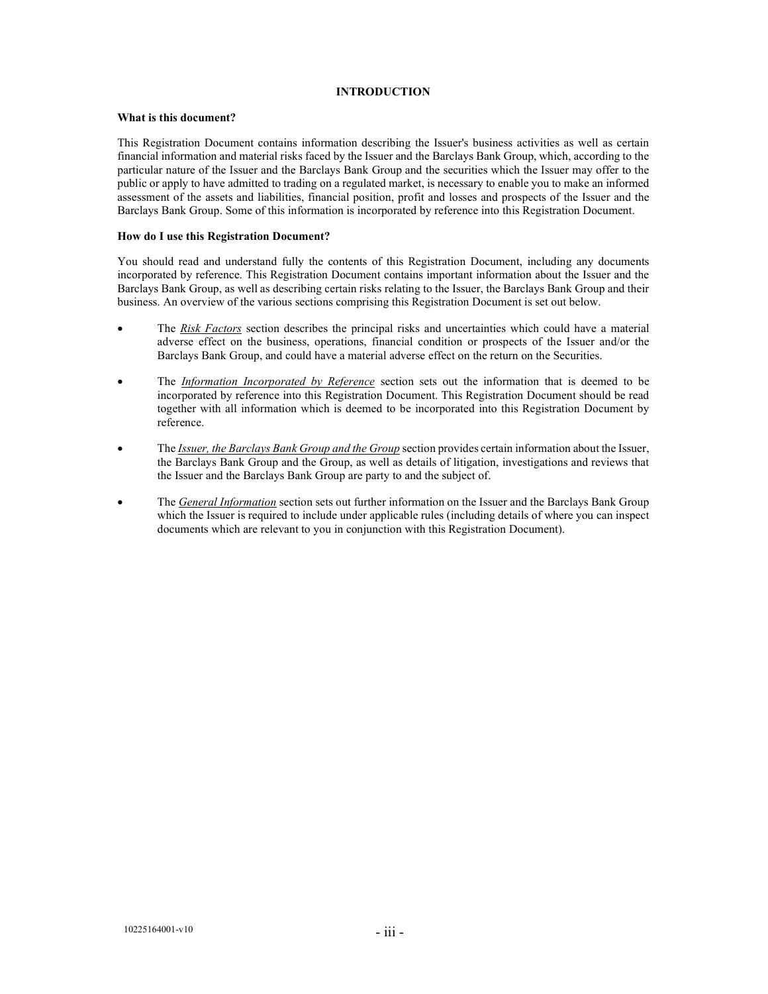### INTRODUCTION

### What is this document?

This Registration Document contains information describing the Issuer's business activities as well as certain financial information and material risks faced by the Issuer and the Barclays Bank Group, which, according to the particular nature of the Issuer and the Barclays Bank Group and the securities which the Issuer may offer to the public or apply to have admitted to trading on a regulated market, is necessary to enable you to make an informed assessment of the assets and liabilities, financial position, profit and losses and prospects of the Issuer and the Barclays Bank Group. Some of this information is incorporated by reference into this Registration Document.

### How do I use this Registration Document?

You should read and understand fully the contents of this Registration Document, including any documents incorporated by reference. This Registration Document contains important information about the Issuer and the Barclays Bank Group, as well as describing certain risks relating to the Issuer, the Barclays Bank Group and their business. An overview of the various sections comprising this Registration Document is set out below.

- The Risk Factors section describes the principal risks and uncertainties which could have a material adverse effect on the business, operations, financial condition or prospects of the Issuer and/or the Barclays Bank Group, and could have a material adverse effect on the return on the Securities.
- The *Information Incorporated by Reference* section sets out the information that is deemed to be incorporated by reference into this Registration Document. This Registration Document should be read together with all information which is deemed to be incorporated into this Registration Document by reference.
- The *Issuer, the Barclays Bank Group and the Group* section provides certain information about the Issuer, the Barclays Bank Group and the Group, as well as details of litigation, investigations and reviews that the Issuer and the Barclays Bank Group are party to and the subject of.
- The *General Information* section sets out further information on the Issuer and the Barclays Bank Group which the Issuer is required to include under applicable rules (including details of where you can inspect documents which are relevant to you in conjunction with this Registration Document).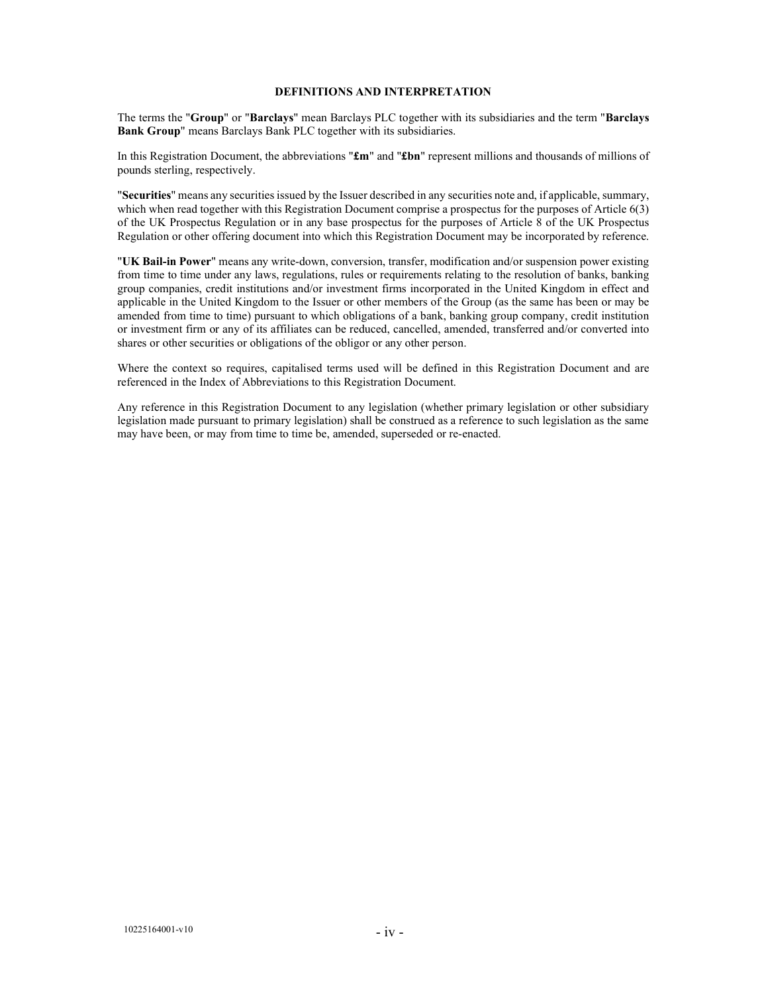### DEFINITIONS AND INTERPRETATION

The terms the "Group" or "Barclays" mean Barclays PLC together with its subsidiaries and the term "Barclays Bank Group" means Barclays Bank PLC together with its subsidiaries.

In this Registration Document, the abbreviations " $\mathbf{f}m$ " and " $\mathbf{f}bn$ " represent millions and thousands of millions of pounds sterling, respectively.

"Securities" means any securities issued by the Issuer described in any securities note and, if applicable, summary, which when read together with this Registration Document comprise a prospectus for the purposes of Article 6(3) of the UK Prospectus Regulation or in any base prospectus for the purposes of Article 8 of the UK Prospectus Regulation or other offering document into which this Registration Document may be incorporated by reference.

"UK Bail-in Power" means any write-down, conversion, transfer, modification and/or suspension power existing from time to time under any laws, regulations, rules or requirements relating to the resolution of banks, banking group companies, credit institutions and/or investment firms incorporated in the United Kingdom in effect and applicable in the United Kingdom to the Issuer or other members of the Group (as the same has been or may be amended from time to time) pursuant to which obligations of a bank, banking group company, credit institution or investment firm or any of its affiliates can be reduced, cancelled, amended, transferred and/or converted into shares or other securities or obligations of the obligor or any other person.

Where the context so requires, capitalised terms used will be defined in this Registration Document and are referenced in the Index of Abbreviations to this Registration Document.

Any reference in this Registration Document to any legislation (whether primary legislation or other subsidiary legislation made pursuant to primary legislation) shall be construed as a reference to such legislation as the same may have been, or may from time to time be, amended, superseded or re-enacted.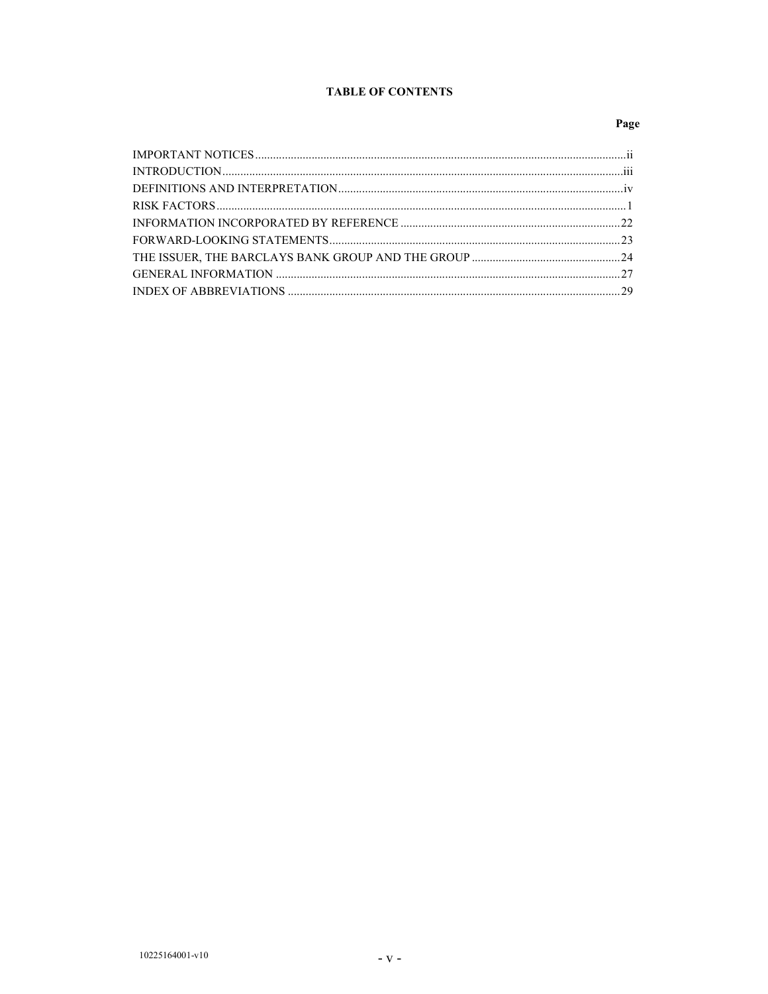# **TABLE OF CONTENTS**

# Page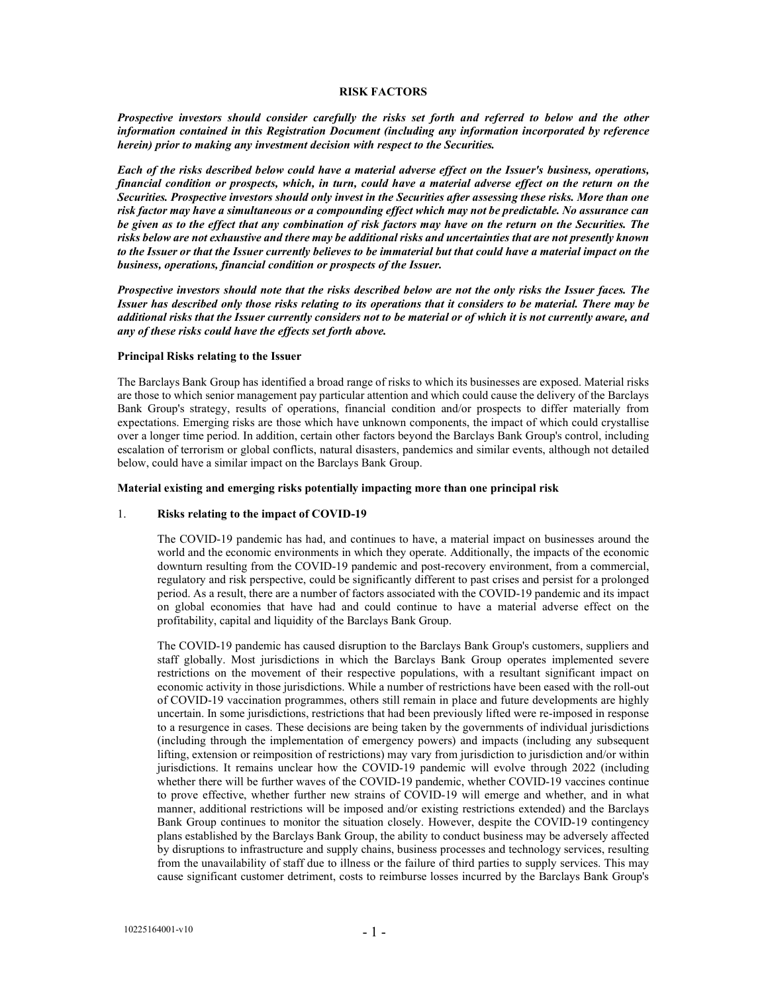#### RISK FACTORS

Prospective investors should consider carefully the risks set forth and referred to below and the other information contained in this Registration Document (including any information incorporated by reference herein) prior to making any investment decision with respect to the Securities.

Each of the risks described below could have a material adverse effect on the Issuer's business, operations, financial condition or prospects, which, in turn, could have a material adverse effect on the return on the Securities. Prospective investors should only invest in the Securities after assessing these risks. More than one risk factor may have a simultaneous or a compounding effect which may not be predictable. No assurance can be given as to the effect that any combination of risk factors may have on the return on the Securities. The risks below are not exhaustive and there may be additional risks and uncertainties that are not presently known to the Issuer or that the Issuer currently believes to be immaterial but that could have a material impact on the business, operations, financial condition or prospects of the Issuer.

Prospective investors should note that the risks described below are not the only risks the Issuer faces. The Issuer has described only those risks relating to its operations that it considers to be material. There may be additional risks that the Issuer currently considers not to be material or of which it is not currently aware, and any of these risks could have the effects set forth above.

#### Principal Risks relating to the Issuer

The Barclays Bank Group has identified a broad range of risks to which its businesses are exposed. Material risks are those to which senior management pay particular attention and which could cause the delivery of the Barclays Bank Group's strategy, results of operations, financial condition and/or prospects to differ materially from expectations. Emerging risks are those which have unknown components, the impact of which could crystallise over a longer time period. In addition, certain other factors beyond the Barclays Bank Group's control, including escalation of terrorism or global conflicts, natural disasters, pandemics and similar events, although not detailed below, could have a similar impact on the Barclays Bank Group.

#### Material existing and emerging risks potentially impacting more than one principal risk

#### 1. Risks relating to the impact of COVID-19

The COVID-19 pandemic has had, and continues to have, a material impact on businesses around the world and the economic environments in which they operate. Additionally, the impacts of the economic downturn resulting from the COVID-19 pandemic and post-recovery environment, from a commercial, regulatory and risk perspective, could be significantly different to past crises and persist for a prolonged period. As a result, there are a number of factors associated with the COVID-19 pandemic and its impact on global economies that have had and could continue to have a material adverse effect on the profitability, capital and liquidity of the Barclays Bank Group.

The COVID-19 pandemic has caused disruption to the Barclays Bank Group's customers, suppliers and staff globally. Most jurisdictions in which the Barclays Bank Group operates implemented severe restrictions on the movement of their respective populations, with a resultant significant impact on economic activity in those jurisdictions. While a number of restrictions have been eased with the roll-out of COVID-19 vaccination programmes, others still remain in place and future developments are highly uncertain. In some jurisdictions, restrictions that had been previously lifted were re-imposed in response to a resurgence in cases. These decisions are being taken by the governments of individual jurisdictions (including through the implementation of emergency powers) and impacts (including any subsequent lifting, extension or reimposition of restrictions) may vary from jurisdiction to jurisdiction and/or within jurisdictions. It remains unclear how the COVID-19 pandemic will evolve through 2022 (including whether there will be further waves of the COVID-19 pandemic, whether COVID-19 vaccines continue to prove effective, whether further new strains of COVID-19 will emerge and whether, and in what manner, additional restrictions will be imposed and/or existing restrictions extended) and the Barclays Bank Group continues to monitor the situation closely. However, despite the COVID-19 contingency plans established by the Barclays Bank Group, the ability to conduct business may be adversely affected by disruptions to infrastructure and supply chains, business processes and technology services, resulting from the unavailability of staff due to illness or the failure of third parties to supply services. This may cause significant customer detriment, costs to reimburse losses incurred by the Barclays Bank Group's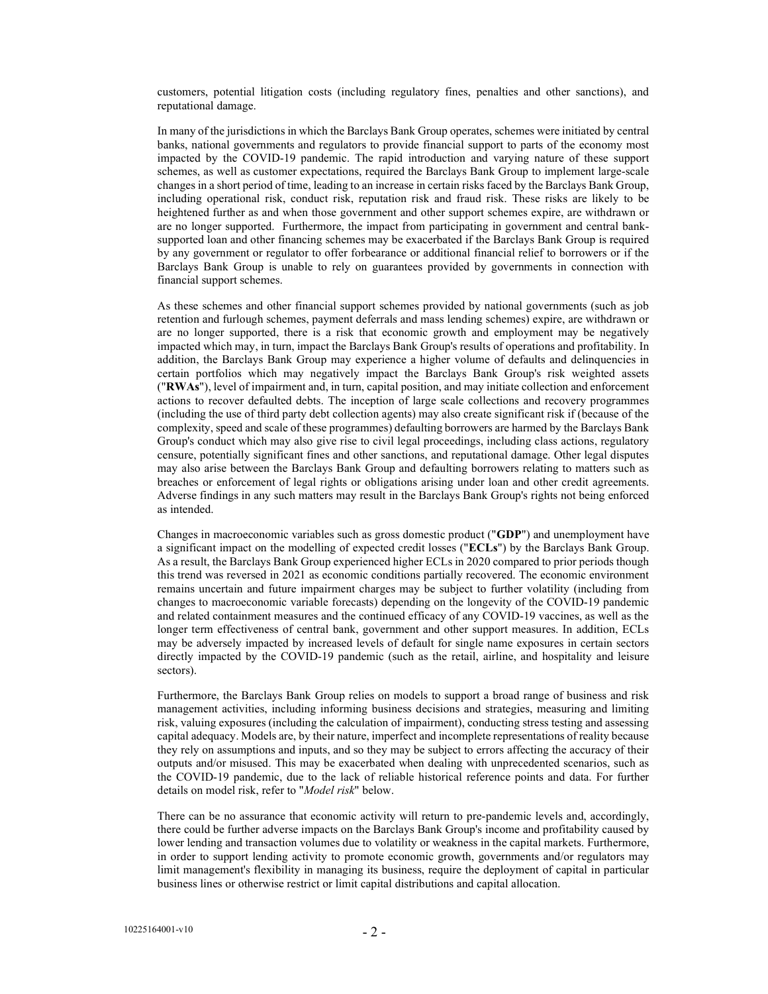customers, potential litigation costs (including regulatory fines, penalties and other sanctions), and reputational damage.

In many of the jurisdictions in which the Barclays Bank Group operates, schemes were initiated by central banks, national governments and regulators to provide financial support to parts of the economy most impacted by the COVID-19 pandemic. The rapid introduction and varying nature of these support schemes, as well as customer expectations, required the Barclays Bank Group to implement large-scale changes in a short period of time, leading to an increase in certain risks faced by the Barclays Bank Group, including operational risk, conduct risk, reputation risk and fraud risk. These risks are likely to be heightened further as and when those government and other support schemes expire, are withdrawn or are no longer supported. Furthermore, the impact from participating in government and central banksupported loan and other financing schemes may be exacerbated if the Barclays Bank Group is required by any government or regulator to offer forbearance or additional financial relief to borrowers or if the Barclays Bank Group is unable to rely on guarantees provided by governments in connection with financial support schemes.

As these schemes and other financial support schemes provided by national governments (such as job retention and furlough schemes, payment deferrals and mass lending schemes) expire, are withdrawn or are no longer supported, there is a risk that economic growth and employment may be negatively impacted which may, in turn, impact the Barclays Bank Group's results of operations and profitability. In addition, the Barclays Bank Group may experience a higher volume of defaults and delinquencies in certain portfolios which may negatively impact the Barclays Bank Group's risk weighted assets ("RWAs"), level of impairment and, in turn, capital position, and may initiate collection and enforcement actions to recover defaulted debts. The inception of large scale collections and recovery programmes (including the use of third party debt collection agents) may also create significant risk if (because of the complexity, speed and scale of these programmes) defaulting borrowers are harmed by the Barclays Bank Group's conduct which may also give rise to civil legal proceedings, including class actions, regulatory censure, potentially significant fines and other sanctions, and reputational damage. Other legal disputes may also arise between the Barclays Bank Group and defaulting borrowers relating to matters such as breaches or enforcement of legal rights or obligations arising under loan and other credit agreements. Adverse findings in any such matters may result in the Barclays Bank Group's rights not being enforced as intended.

Changes in macroeconomic variables such as gross domestic product ("GDP") and unemployment have a significant impact on the modelling of expected credit losses ("ECLs") by the Barclays Bank Group. As a result, the Barclays Bank Group experienced higher ECLs in 2020 compared to prior periods though this trend was reversed in 2021 as economic conditions partially recovered. The economic environment remains uncertain and future impairment charges may be subject to further volatility (including from changes to macroeconomic variable forecasts) depending on the longevity of the COVID-19 pandemic and related containment measures and the continued efficacy of any COVID-19 vaccines, as well as the longer term effectiveness of central bank, government and other support measures. In addition, ECLs may be adversely impacted by increased levels of default for single name exposures in certain sectors directly impacted by the COVID-19 pandemic (such as the retail, airline, and hospitality and leisure sectors).

Furthermore, the Barclays Bank Group relies on models to support a broad range of business and risk management activities, including informing business decisions and strategies, measuring and limiting risk, valuing exposures (including the calculation of impairment), conducting stress testing and assessing capital adequacy. Models are, by their nature, imperfect and incomplete representations of reality because they rely on assumptions and inputs, and so they may be subject to errors affecting the accuracy of their outputs and/or misused. This may be exacerbated when dealing with unprecedented scenarios, such as the COVID-19 pandemic, due to the lack of reliable historical reference points and data. For further details on model risk, refer to "Model risk" below.

There can be no assurance that economic activity will return to pre-pandemic levels and, accordingly, there could be further adverse impacts on the Barclays Bank Group's income and profitability caused by lower lending and transaction volumes due to volatility or weakness in the capital markets. Furthermore, in order to support lending activity to promote economic growth, governments and/or regulators may limit management's flexibility in managing its business, require the deployment of capital in particular business lines or otherwise restrict or limit capital distributions and capital allocation.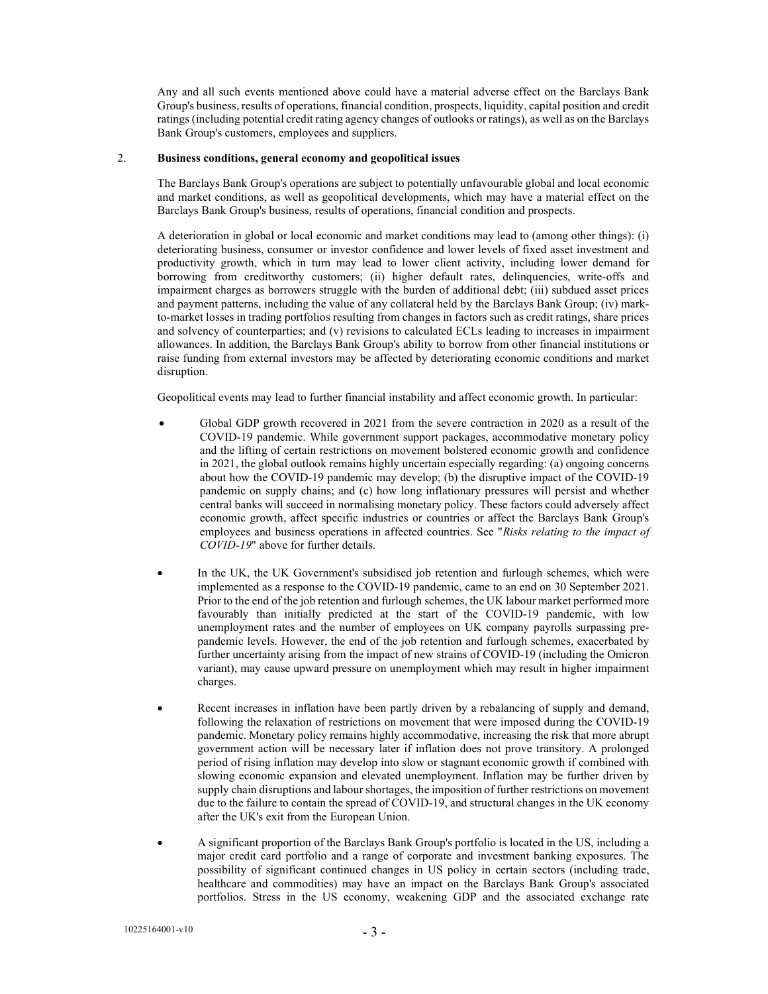Any and all such events mentioned above could have a material adverse effect on the Barclays Bank Group's business, results of operations, financial condition, prospects, liquidity, capital position and credit ratings (including potential credit rating agency changes of outlooks or ratings), as well as on the Barclays Bank Group's customers, employees and suppliers.

### 2. Business conditions, general economy and geopolitical issues

The Barclays Bank Group's operations are subject to potentially unfavourable global and local economic and market conditions, as well as geopolitical developments, which may have a material effect on the Barclays Bank Group's business, results of operations, financial condition and prospects.

A deterioration in global or local economic and market conditions may lead to (among other things): (i) deteriorating business, consumer or investor confidence and lower levels of fixed asset investment and productivity growth, which in turn may lead to lower client activity, including lower demand for borrowing from creditworthy customers; (ii) higher default rates, delinquencies, write-offs and impairment charges as borrowers struggle with the burden of additional debt; (iii) subdued asset prices and payment patterns, including the value of any collateral held by the Barclays Bank Group; (iv) markto-market losses in trading portfolios resulting from changes in factors such as credit ratings, share prices and solvency of counterparties; and (v) revisions to calculated ECLs leading to increases in impairment allowances. In addition, the Barclays Bank Group's ability to borrow from other financial institutions or raise funding from external investors may be affected by deteriorating economic conditions and market disruption.

Geopolitical events may lead to further financial instability and affect economic growth. In particular:

- Global GDP growth recovered in 2021 from the severe contraction in 2020 as a result of the COVID-19 pandemic. While government support packages, accommodative monetary policy and the lifting of certain restrictions on movement bolstered economic growth and confidence in 2021, the global outlook remains highly uncertain especially regarding: (a) ongoing concerns about how the COVID-19 pandemic may develop; (b) the disruptive impact of the COVID-19 pandemic on supply chains; and (c) how long inflationary pressures will persist and whether central banks will succeed in normalising monetary policy. These factors could adversely affect economic growth, affect specific industries or countries or affect the Barclays Bank Group's employees and business operations in affected countries. See "Risks relating to the impact of COVID-19" above for further details.
- In the UK, the UK Government's subsidised job retention and furlough schemes, which were implemented as a response to the COVID-19 pandemic, came to an end on 30 September 2021. Prior to the end of the job retention and furlough schemes, the UK labour market performed more favourably than initially predicted at the start of the COVID-19 pandemic, with low unemployment rates and the number of employees on UK company payrolls surpassing prepandemic levels. However, the end of the job retention and furlough schemes, exacerbated by further uncertainty arising from the impact of new strains of COVID-19 (including the Omicron variant), may cause upward pressure on unemployment which may result in higher impairment charges.
- Recent increases in inflation have been partly driven by a rebalancing of supply and demand, following the relaxation of restrictions on movement that were imposed during the COVID-19 pandemic. Monetary policy remains highly accommodative, increasing the risk that more abrupt government action will be necessary later if inflation does not prove transitory. A prolonged period of rising inflation may develop into slow or stagnant economic growth if combined with slowing economic expansion and elevated unemployment. Inflation may be further driven by supply chain disruptions and labour shortages, the imposition of further restrictions on movement due to the failure to contain the spread of COVID-19, and structural changes in the UK economy after the UK's exit from the European Union.
- A significant proportion of the Barclays Bank Group's portfolio is located in the US, including a major credit card portfolio and a range of corporate and investment banking exposures. The possibility of significant continued changes in US policy in certain sectors (including trade, healthcare and commodities) may have an impact on the Barclays Bank Group's associated portfolios. Stress in the US economy, weakening GDP and the associated exchange rate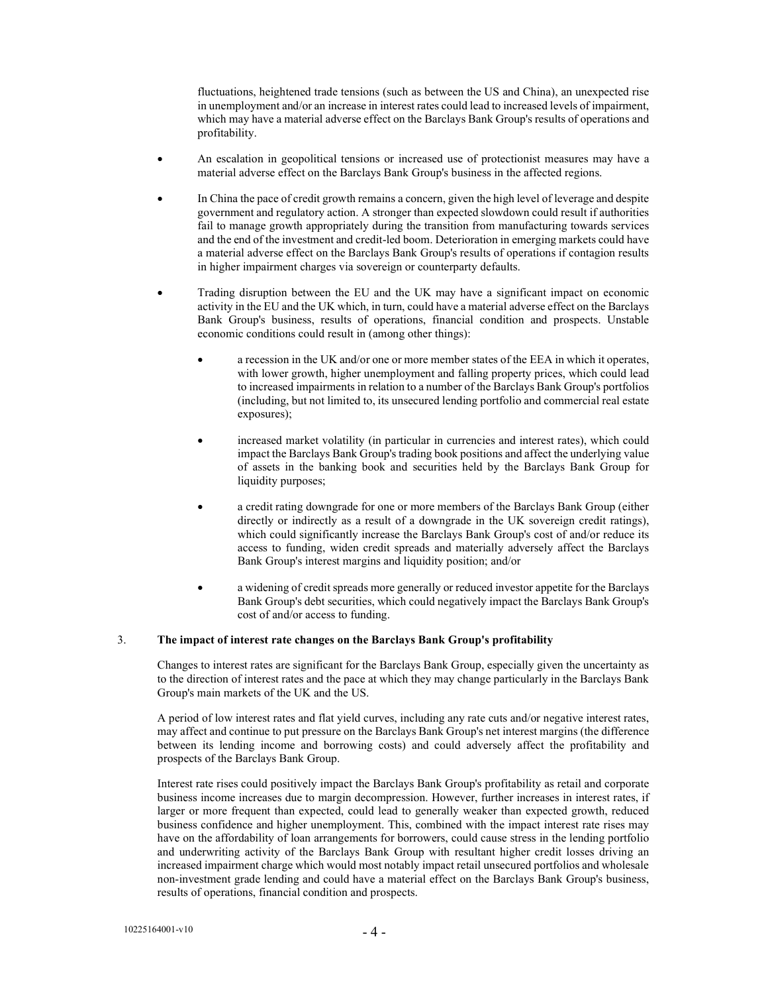fluctuations, heightened trade tensions (such as between the US and China), an unexpected rise in unemployment and/or an increase in interest rates could lead to increased levels of impairment, which may have a material adverse effect on the Barclays Bank Group's results of operations and profitability.

- An escalation in geopolitical tensions or increased use of protectionist measures may have a material adverse effect on the Barclays Bank Group's business in the affected regions.
- In China the pace of credit growth remains a concern, given the high level of leverage and despite government and regulatory action. A stronger than expected slowdown could result if authorities fail to manage growth appropriately during the transition from manufacturing towards services and the end of the investment and credit-led boom. Deterioration in emerging markets could have a material adverse effect on the Barclays Bank Group's results of operations if contagion results in higher impairment charges via sovereign or counterparty defaults.
- Trading disruption between the EU and the UK may have a significant impact on economic activity in the EU and the UK which, in turn, could have a material adverse effect on the Barclays Bank Group's business, results of operations, financial condition and prospects. Unstable economic conditions could result in (among other things):
	- a recession in the UK and/or one or more member states of the EEA in which it operates, with lower growth, higher unemployment and falling property prices, which could lead to increased impairments in relation to a number of the Barclays Bank Group's portfolios (including, but not limited to, its unsecured lending portfolio and commercial real estate exposures);
	- increased market volatility (in particular in currencies and interest rates), which could impact the Barclays Bank Group's trading book positions and affect the underlying value of assets in the banking book and securities held by the Barclays Bank Group for liquidity purposes;
	- a credit rating downgrade for one or more members of the Barclays Bank Group (either directly or indirectly as a result of a downgrade in the UK sovereign credit ratings), which could significantly increase the Barclays Bank Group's cost of and/or reduce its access to funding, widen credit spreads and materially adversely affect the Barclays Bank Group's interest margins and liquidity position; and/or
	- a widening of credit spreads more generally or reduced investor appetite for the Barclays Bank Group's debt securities, which could negatively impact the Barclays Bank Group's cost of and/or access to funding.

### 3. The impact of interest rate changes on the Barclays Bank Group's profitability

Changes to interest rates are significant for the Barclays Bank Group, especially given the uncertainty as to the direction of interest rates and the pace at which they may change particularly in the Barclays Bank Group's main markets of the UK and the US.

A period of low interest rates and flat yield curves, including any rate cuts and/or negative interest rates, may affect and continue to put pressure on the Barclays Bank Group's net interest margins (the difference between its lending income and borrowing costs) and could adversely affect the profitability and prospects of the Barclays Bank Group.

Interest rate rises could positively impact the Barclays Bank Group's profitability as retail and corporate business income increases due to margin decompression. However, further increases in interest rates, if larger or more frequent than expected, could lead to generally weaker than expected growth, reduced business confidence and higher unemployment. This, combined with the impact interest rate rises may have on the affordability of loan arrangements for borrowers, could cause stress in the lending portfolio and underwriting activity of the Barclays Bank Group with resultant higher credit losses driving an increased impairment charge which would most notably impact retail unsecured portfolios and wholesale non-investment grade lending and could have a material effect on the Barclays Bank Group's business, results of operations, financial condition and prospects.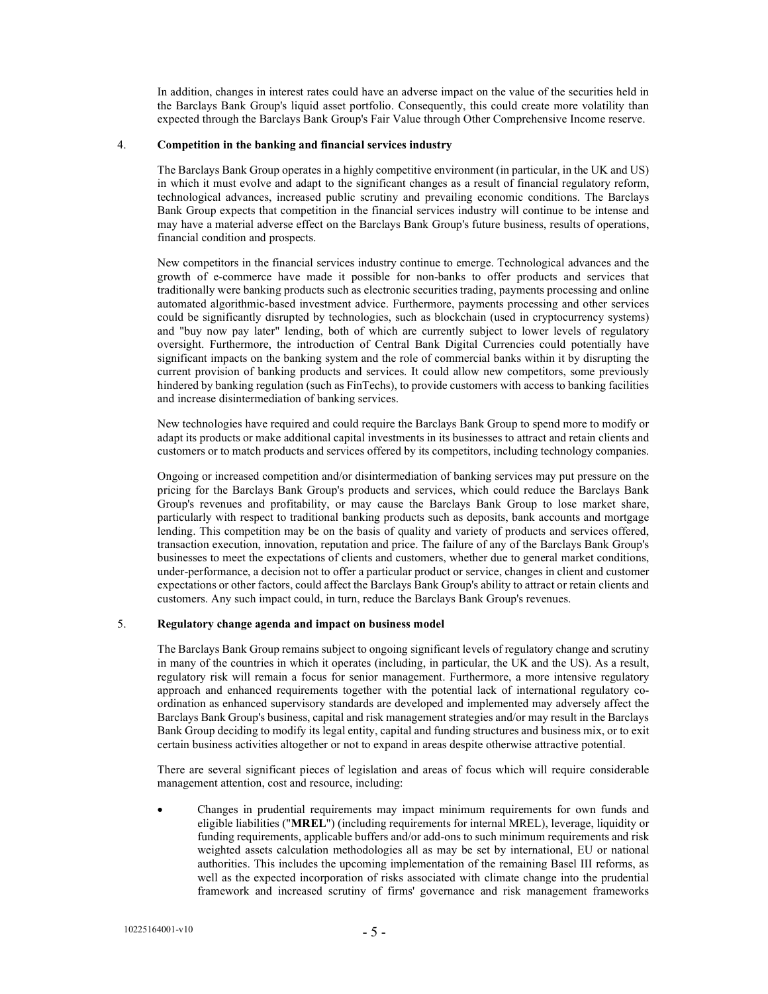In addition, changes in interest rates could have an adverse impact on the value of the securities held in the Barclays Bank Group's liquid asset portfolio. Consequently, this could create more volatility than expected through the Barclays Bank Group's Fair Value through Other Comprehensive Income reserve.

### 4. Competition in the banking and financial services industry

The Barclays Bank Group operates in a highly competitive environment (in particular, in the UK and US) in which it must evolve and adapt to the significant changes as a result of financial regulatory reform, technological advances, increased public scrutiny and prevailing economic conditions. The Barclays Bank Group expects that competition in the financial services industry will continue to be intense and may have a material adverse effect on the Barclays Bank Group's future business, results of operations, financial condition and prospects.

New competitors in the financial services industry continue to emerge. Technological advances and the growth of e-commerce have made it possible for non-banks to offer products and services that traditionally were banking products such as electronic securities trading, payments processing and online automated algorithmic-based investment advice. Furthermore, payments processing and other services could be significantly disrupted by technologies, such as blockchain (used in cryptocurrency systems) and "buy now pay later" lending, both of which are currently subject to lower levels of regulatory oversight. Furthermore, the introduction of Central Bank Digital Currencies could potentially have significant impacts on the banking system and the role of commercial banks within it by disrupting the current provision of banking products and services. It could allow new competitors, some previously hindered by banking regulation (such as FinTechs), to provide customers with access to banking facilities and increase disintermediation of banking services.

New technologies have required and could require the Barclays Bank Group to spend more to modify or adapt its products or make additional capital investments in its businesses to attract and retain clients and customers or to match products and services offered by its competitors, including technology companies.

Ongoing or increased competition and/or disintermediation of banking services may put pressure on the pricing for the Barclays Bank Group's products and services, which could reduce the Barclays Bank Group's revenues and profitability, or may cause the Barclays Bank Group to lose market share, particularly with respect to traditional banking products such as deposits, bank accounts and mortgage lending. This competition may be on the basis of quality and variety of products and services offered, transaction execution, innovation, reputation and price. The failure of any of the Barclays Bank Group's businesses to meet the expectations of clients and customers, whether due to general market conditions, under-performance, a decision not to offer a particular product or service, changes in client and customer expectations or other factors, could affect the Barclays Bank Group's ability to attract or retain clients and customers. Any such impact could, in turn, reduce the Barclays Bank Group's revenues.

### 5. Regulatory change agenda and impact on business model

The Barclays Bank Group remains subject to ongoing significant levels of regulatory change and scrutiny in many of the countries in which it operates (including, in particular, the UK and the US). As a result, regulatory risk will remain a focus for senior management. Furthermore, a more intensive regulatory approach and enhanced requirements together with the potential lack of international regulatory coordination as enhanced supervisory standards are developed and implemented may adversely affect the Barclays Bank Group's business, capital and risk management strategies and/or may result in the Barclays Bank Group deciding to modify its legal entity, capital and funding structures and business mix, or to exit certain business activities altogether or not to expand in areas despite otherwise attractive potential.

There are several significant pieces of legislation and areas of focus which will require considerable management attention, cost and resource, including:

 Changes in prudential requirements may impact minimum requirements for own funds and eligible liabilities ("MREL") (including requirements for internal MREL), leverage, liquidity or funding requirements, applicable buffers and/or add-ons to such minimum requirements and risk weighted assets calculation methodologies all as may be set by international, EU or national authorities. This includes the upcoming implementation of the remaining Basel III reforms, as well as the expected incorporation of risks associated with climate change into the prudential framework and increased scrutiny of firms' governance and risk management frameworks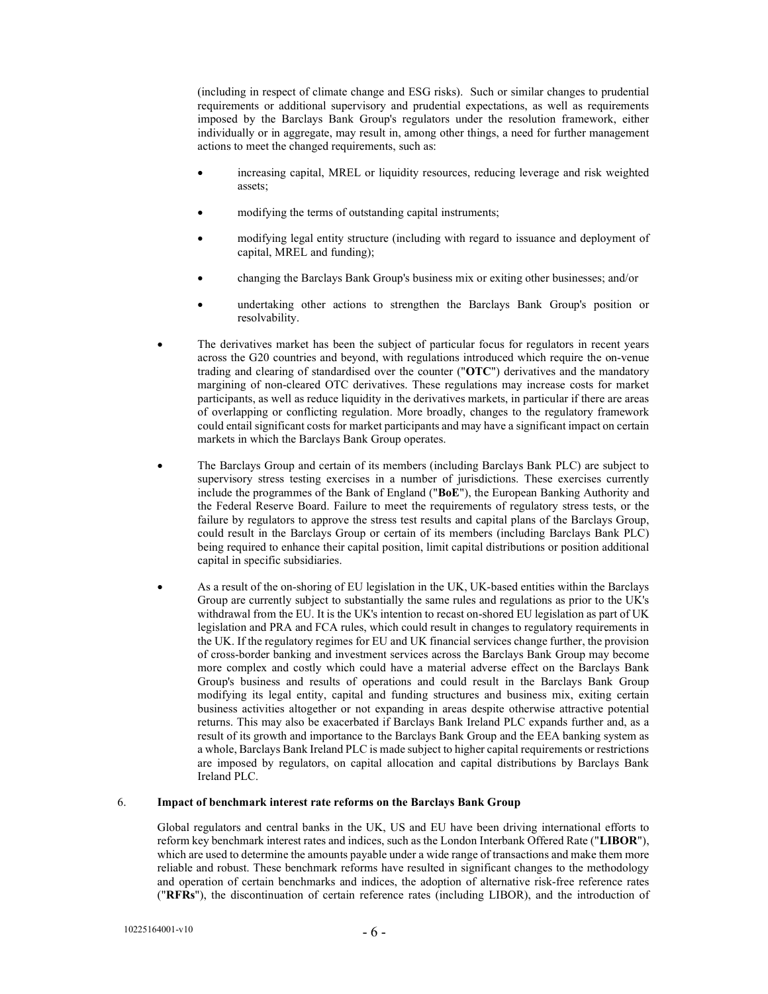(including in respect of climate change and ESG risks). Such or similar changes to prudential requirements or additional supervisory and prudential expectations, as well as requirements imposed by the Barclays Bank Group's regulators under the resolution framework, either individually or in aggregate, may result in, among other things, a need for further management actions to meet the changed requirements, such as:

- increasing capital, MREL or liquidity resources, reducing leverage and risk weighted assets;
- modifying the terms of outstanding capital instruments;
- modifying legal entity structure (including with regard to issuance and deployment of capital, MREL and funding);
- changing the Barclays Bank Group's business mix or exiting other businesses; and/or
- undertaking other actions to strengthen the Barclays Bank Group's position or resolvability.
- The derivatives market has been the subject of particular focus for regulators in recent years across the G20 countries and beyond, with regulations introduced which require the on-venue trading and clearing of standardised over the counter ("OTC") derivatives and the mandatory margining of non-cleared OTC derivatives. These regulations may increase costs for market participants, as well as reduce liquidity in the derivatives markets, in particular if there are areas of overlapping or conflicting regulation. More broadly, changes to the regulatory framework could entail significant costs for market participants and may have a significant impact on certain markets in which the Barclays Bank Group operates.
- The Barclays Group and certain of its members (including Barclays Bank PLC) are subject to supervisory stress testing exercises in a number of jurisdictions. These exercises currently include the programmes of the Bank of England ("BoE"), the European Banking Authority and the Federal Reserve Board. Failure to meet the requirements of regulatory stress tests, or the failure by regulators to approve the stress test results and capital plans of the Barclays Group, could result in the Barclays Group or certain of its members (including Barclays Bank PLC) being required to enhance their capital position, limit capital distributions or position additional capital in specific subsidiaries.
- As a result of the on-shoring of EU legislation in the UK, UK-based entities within the Barclays Group are currently subject to substantially the same rules and regulations as prior to the UK's withdrawal from the EU. It is the UK's intention to recast on-shored EU legislation as part of UK legislation and PRA and FCA rules, which could result in changes to regulatory requirements in the UK. If the regulatory regimes for EU and UK financial services change further, the provision of cross-border banking and investment services across the Barclays Bank Group may become more complex and costly which could have a material adverse effect on the Barclays Bank Group's business and results of operations and could result in the Barclays Bank Group modifying its legal entity, capital and funding structures and business mix, exiting certain business activities altogether or not expanding in areas despite otherwise attractive potential returns. This may also be exacerbated if Barclays Bank Ireland PLC expands further and, as a result of its growth and importance to the Barclays Bank Group and the EEA banking system as a whole, Barclays Bank Ireland PLC is made subject to higher capital requirements or restrictions are imposed by regulators, on capital allocation and capital distributions by Barclays Bank Ireland PLC.

### 6. Impact of benchmark interest rate reforms on the Barclays Bank Group

Global regulators and central banks in the UK, US and EU have been driving international efforts to reform key benchmark interest rates and indices, such as the London Interbank Offered Rate ("LIBOR"), which are used to determine the amounts payable under a wide range of transactions and make them more reliable and robust. These benchmark reforms have resulted in significant changes to the methodology and operation of certain benchmarks and indices, the adoption of alternative risk-free reference rates ("RFRs"), the discontinuation of certain reference rates (including LIBOR), and the introduction of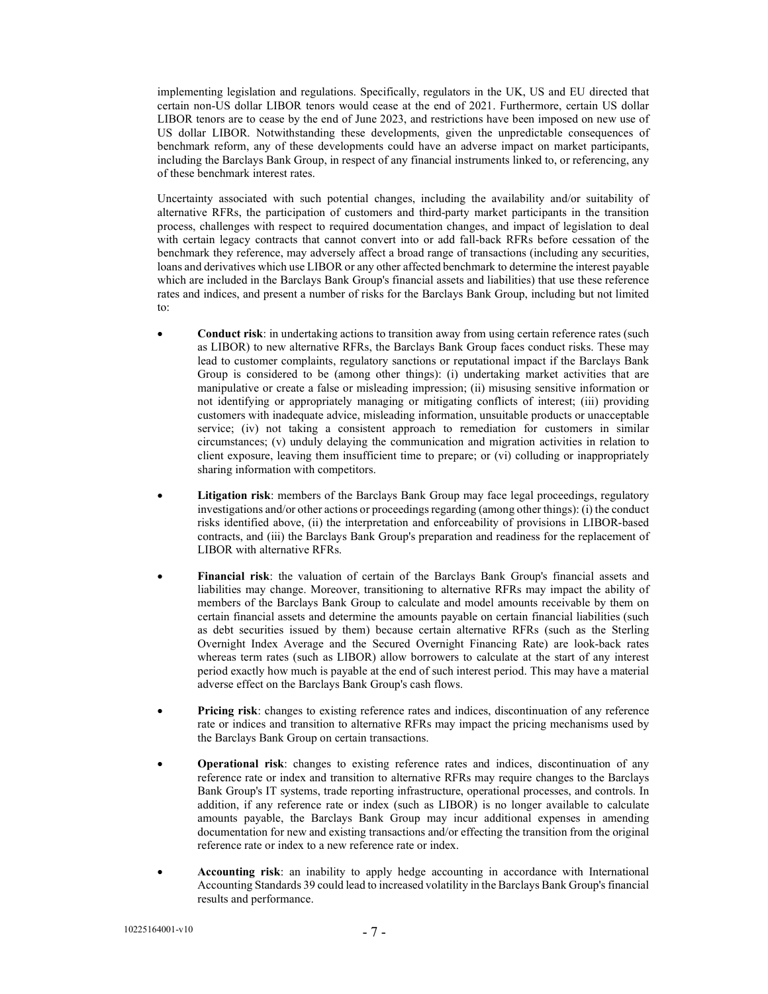implementing legislation and regulations. Specifically, regulators in the UK, US and EU directed that certain non-US dollar LIBOR tenors would cease at the end of 2021. Furthermore, certain US dollar LIBOR tenors are to cease by the end of June 2023, and restrictions have been imposed on new use of US dollar LIBOR. Notwithstanding these developments, given the unpredictable consequences of benchmark reform, any of these developments could have an adverse impact on market participants, including the Barclays Bank Group, in respect of any financial instruments linked to, or referencing, any of these benchmark interest rates.

Uncertainty associated with such potential changes, including the availability and/or suitability of alternative RFRs, the participation of customers and third-party market participants in the transition process, challenges with respect to required documentation changes, and impact of legislation to deal with certain legacy contracts that cannot convert into or add fall-back RFRs before cessation of the benchmark they reference, may adversely affect a broad range of transactions (including any securities, loans and derivatives which use LIBOR or any other affected benchmark to determine the interest payable which are included in the Barclays Bank Group's financial assets and liabilities) that use these reference rates and indices, and present a number of risks for the Barclays Bank Group, including but not limited to:

- Conduct risk: in undertaking actions to transition away from using certain reference rates (such as LIBOR) to new alternative RFRs, the Barclays Bank Group faces conduct risks. These may lead to customer complaints, regulatory sanctions or reputational impact if the Barclays Bank Group is considered to be (among other things): (i) undertaking market activities that are manipulative or create a false or misleading impression; (ii) misusing sensitive information or not identifying or appropriately managing or mitigating conflicts of interest; (iii) providing customers with inadequate advice, misleading information, unsuitable products or unacceptable service; (iv) not taking a consistent approach to remediation for customers in similar circumstances; (v) unduly delaying the communication and migration activities in relation to client exposure, leaving them insufficient time to prepare; or (vi) colluding or inappropriately sharing information with competitors.
- Litigation risk: members of the Barclays Bank Group may face legal proceedings, regulatory investigations and/or other actions or proceedings regarding (among other things): (i) the conduct risks identified above, (ii) the interpretation and enforceability of provisions in LIBOR-based contracts, and (iii) the Barclays Bank Group's preparation and readiness for the replacement of LIBOR with alternative RFRs.
- Financial risk: the valuation of certain of the Barclays Bank Group's financial assets and liabilities may change. Moreover, transitioning to alternative RFRs may impact the ability of members of the Barclays Bank Group to calculate and model amounts receivable by them on certain financial assets and determine the amounts payable on certain financial liabilities (such as debt securities issued by them) because certain alternative RFRs (such as the Sterling Overnight Index Average and the Secured Overnight Financing Rate) are look-back rates whereas term rates (such as LIBOR) allow borrowers to calculate at the start of any interest period exactly how much is payable at the end of such interest period. This may have a material adverse effect on the Barclays Bank Group's cash flows.
- Pricing risk: changes to existing reference rates and indices, discontinuation of any reference rate or indices and transition to alternative RFRs may impact the pricing mechanisms used by the Barclays Bank Group on certain transactions.
- Operational risk: changes to existing reference rates and indices, discontinuation of any reference rate or index and transition to alternative RFRs may require changes to the Barclays Bank Group's IT systems, trade reporting infrastructure, operational processes, and controls. In addition, if any reference rate or index (such as LIBOR) is no longer available to calculate amounts payable, the Barclays Bank Group may incur additional expenses in amending documentation for new and existing transactions and/or effecting the transition from the original reference rate or index to a new reference rate or index.
- Accounting risk: an inability to apply hedge accounting in accordance with International Accounting Standards 39 could lead to increased volatility in the Barclays Bank Group's financial results and performance.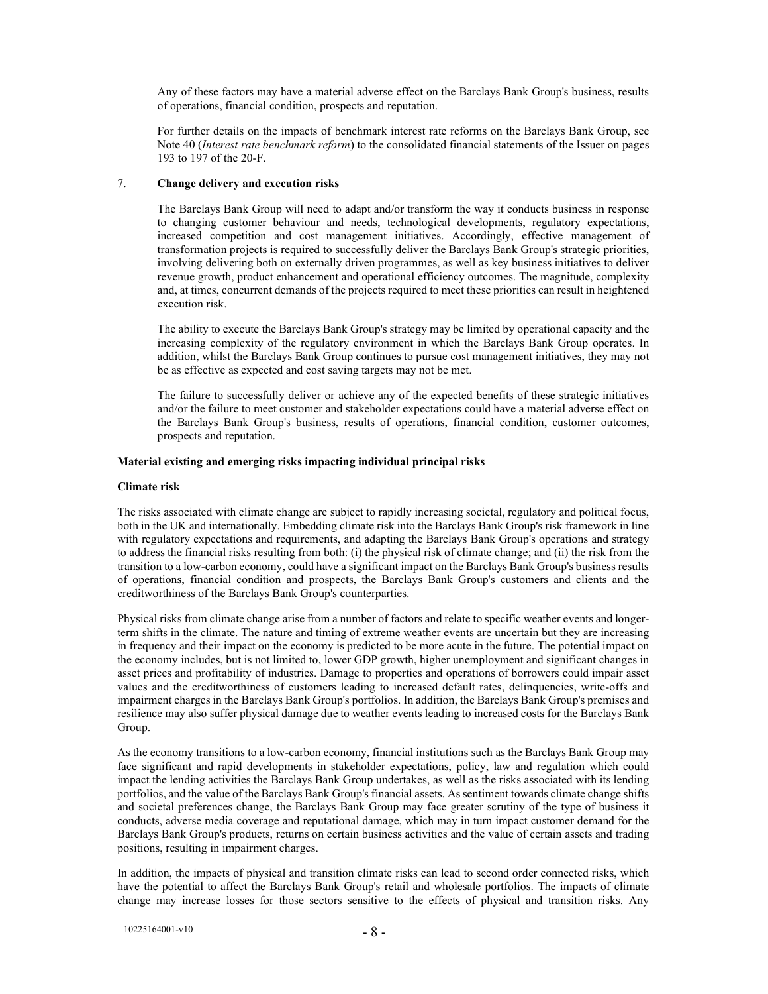Any of these factors may have a material adverse effect on the Barclays Bank Group's business, results of operations, financial condition, prospects and reputation.

For further details on the impacts of benchmark interest rate reforms on the Barclays Bank Group, see Note 40 (Interest rate benchmark reform) to the consolidated financial statements of the Issuer on pages 193 to 197 of the 20-F.

### 7. Change delivery and execution risks

The Barclays Bank Group will need to adapt and/or transform the way it conducts business in response to changing customer behaviour and needs, technological developments, regulatory expectations, increased competition and cost management initiatives. Accordingly, effective management of transformation projects is required to successfully deliver the Barclays Bank Group's strategic priorities, involving delivering both on externally driven programmes, as well as key business initiatives to deliver revenue growth, product enhancement and operational efficiency outcomes. The magnitude, complexity and, at times, concurrent demands of the projects required to meet these priorities can result in heightened execution risk.

The ability to execute the Barclays Bank Group's strategy may be limited by operational capacity and the increasing complexity of the regulatory environment in which the Barclays Bank Group operates. In addition, whilst the Barclays Bank Group continues to pursue cost management initiatives, they may not be as effective as expected and cost saving targets may not be met.

The failure to successfully deliver or achieve any of the expected benefits of these strategic initiatives and/or the failure to meet customer and stakeholder expectations could have a material adverse effect on the Barclays Bank Group's business, results of operations, financial condition, customer outcomes, prospects and reputation.

### Material existing and emerging risks impacting individual principal risks

#### Climate risk

The risks associated with climate change are subject to rapidly increasing societal, regulatory and political focus, both in the UK and internationally. Embedding climate risk into the Barclays Bank Group's risk framework in line with regulatory expectations and requirements, and adapting the Barclays Bank Group's operations and strategy to address the financial risks resulting from both: (i) the physical risk of climate change; and (ii) the risk from the transition to a low-carbon economy, could have a significant impact on the Barclays Bank Group's business results of operations, financial condition and prospects, the Barclays Bank Group's customers and clients and the creditworthiness of the Barclays Bank Group's counterparties.

Physical risks from climate change arise from a number of factors and relate to specific weather events and longerterm shifts in the climate. The nature and timing of extreme weather events are uncertain but they are increasing in frequency and their impact on the economy is predicted to be more acute in the future. The potential impact on the economy includes, but is not limited to, lower GDP growth, higher unemployment and significant changes in asset prices and profitability of industries. Damage to properties and operations of borrowers could impair asset values and the creditworthiness of customers leading to increased default rates, delinquencies, write-offs and impairment charges in the Barclays Bank Group's portfolios. In addition, the Barclays Bank Group's premises and resilience may also suffer physical damage due to weather events leading to increased costs for the Barclays Bank Group.

As the economy transitions to a low-carbon economy, financial institutions such as the Barclays Bank Group may face significant and rapid developments in stakeholder expectations, policy, law and regulation which could impact the lending activities the Barclays Bank Group undertakes, as well as the risks associated with its lending portfolios, and the value of the Barclays Bank Group's financial assets. As sentiment towards climate change shifts and societal preferences change, the Barclays Bank Group may face greater scrutiny of the type of business it conducts, adverse media coverage and reputational damage, which may in turn impact customer demand for the Barclays Bank Group's products, returns on certain business activities and the value of certain assets and trading positions, resulting in impairment charges.

In addition, the impacts of physical and transition climate risks can lead to second order connected risks, which have the potential to affect the Barclays Bank Group's retail and wholesale portfolios. The impacts of climate change may increase losses for those sectors sensitive to the effects of physical and transition risks. Any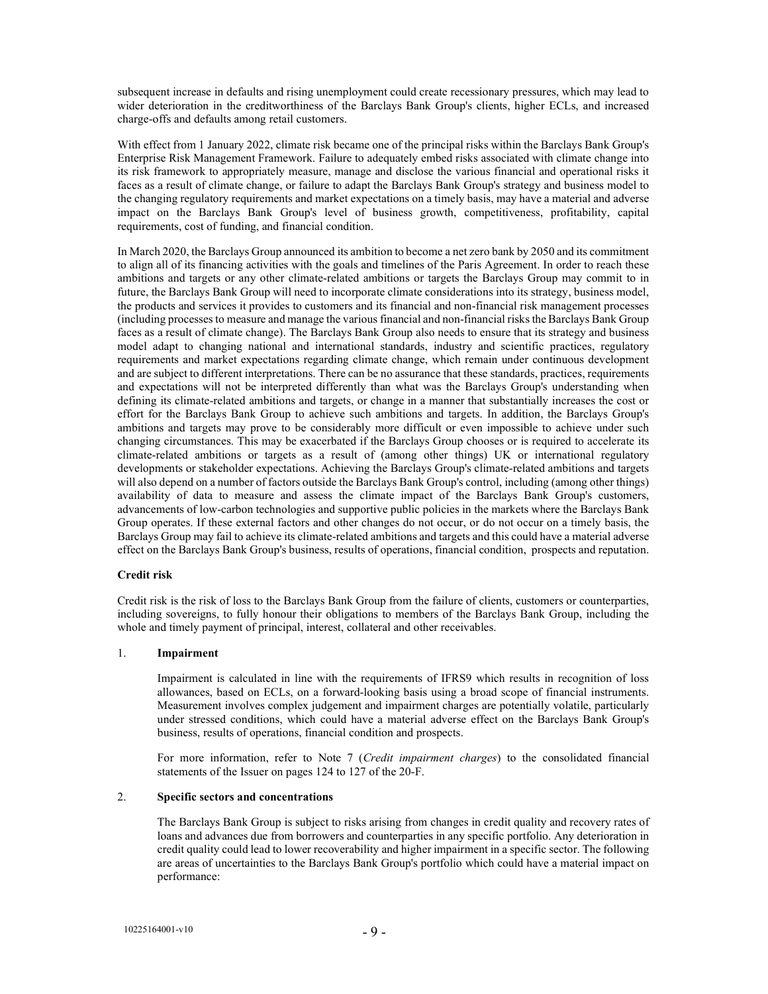subsequent increase in defaults and rising unemployment could create recessionary pressures, which may lead to wider deterioration in the creditworthiness of the Barclays Bank Group's clients, higher ECLs, and increased charge-offs and defaults among retail customers.

With effect from 1 January 2022, climate risk became one of the principal risks within the Barclays Bank Group's Enterprise Risk Management Framework. Failure to adequately embed risks associated with climate change into its risk framework to appropriately measure, manage and disclose the various financial and operational risks it faces as a result of climate change, or failure to adapt the Barclays Bank Group's strategy and business model to the changing regulatory requirements and market expectations on a timely basis, may have a material and adverse impact on the Barclays Bank Group's level of business growth, competitiveness, profitability, capital requirements, cost of funding, and financial condition.

In March 2020, the Barclays Group announced its ambition to become a net zero bank by 2050 and its commitment to align all of its financing activities with the goals and timelines of the Paris Agreement. In order to reach these ambitions and targets or any other climate-related ambitions or targets the Barclays Group may commit to in future, the Barclays Bank Group will need to incorporate climate considerations into its strategy, business model, the products and services it provides to customers and its financial and non-financial risk management processes (including processes to measure and manage the various financial and non-financial risks the Barclays Bank Group faces as a result of climate change). The Barclays Bank Group also needs to ensure that its strategy and business model adapt to changing national and international standards, industry and scientific practices, regulatory requirements and market expectations regarding climate change, which remain under continuous development and are subject to different interpretations. There can be no assurance that these standards, practices, requirements and expectations will not be interpreted differently than what was the Barclays Group's understanding when defining its climate-related ambitions and targets, or change in a manner that substantially increases the cost or effort for the Barclays Bank Group to achieve such ambitions and targets. In addition, the Barclays Group's ambitions and targets may prove to be considerably more difficult or even impossible to achieve under such changing circumstances. This may be exacerbated if the Barclays Group chooses or is required to accelerate its climate-related ambitions or targets as a result of (among other things) UK or international regulatory developments or stakeholder expectations. Achieving the Barclays Group's climate-related ambitions and targets will also depend on a number of factors outside the Barclays Bank Group's control, including (among other things) availability of data to measure and assess the climate impact of the Barclays Bank Group's customers, advancements of low-carbon technologies and supportive public policies in the markets where the Barclays Bank Group operates. If these external factors and other changes do not occur, or do not occur on a timely basis, the Barclays Group may fail to achieve its climate-related ambitions and targets and this could have a material adverse effect on the Barclays Bank Group's business, results of operations, financial condition, prospects and reputation.

### Credit risk

Credit risk is the risk of loss to the Barclays Bank Group from the failure of clients, customers or counterparties, including sovereigns, to fully honour their obligations to members of the Barclays Bank Group, including the whole and timely payment of principal, interest, collateral and other receivables.

### 1. Impairment

Impairment is calculated in line with the requirements of IFRS9 which results in recognition of loss allowances, based on ECLs, on a forward-looking basis using a broad scope of financial instruments. Measurement involves complex judgement and impairment charges are potentially volatile, particularly under stressed conditions, which could have a material adverse effect on the Barclays Bank Group's business, results of operations, financial condition and prospects.

For more information, refer to Note 7 (Credit impairment charges) to the consolidated financial statements of the Issuer on pages 124 to 127 of the 20-F.

#### 2. Specific sectors and concentrations

The Barclays Bank Group is subject to risks arising from changes in credit quality and recovery rates of loans and advances due from borrowers and counterparties in any specific portfolio. Any deterioration in credit quality could lead to lower recoverability and higher impairment in a specific sector. The following are areas of uncertainties to the Barclays Bank Group's portfolio which could have a material impact on performance: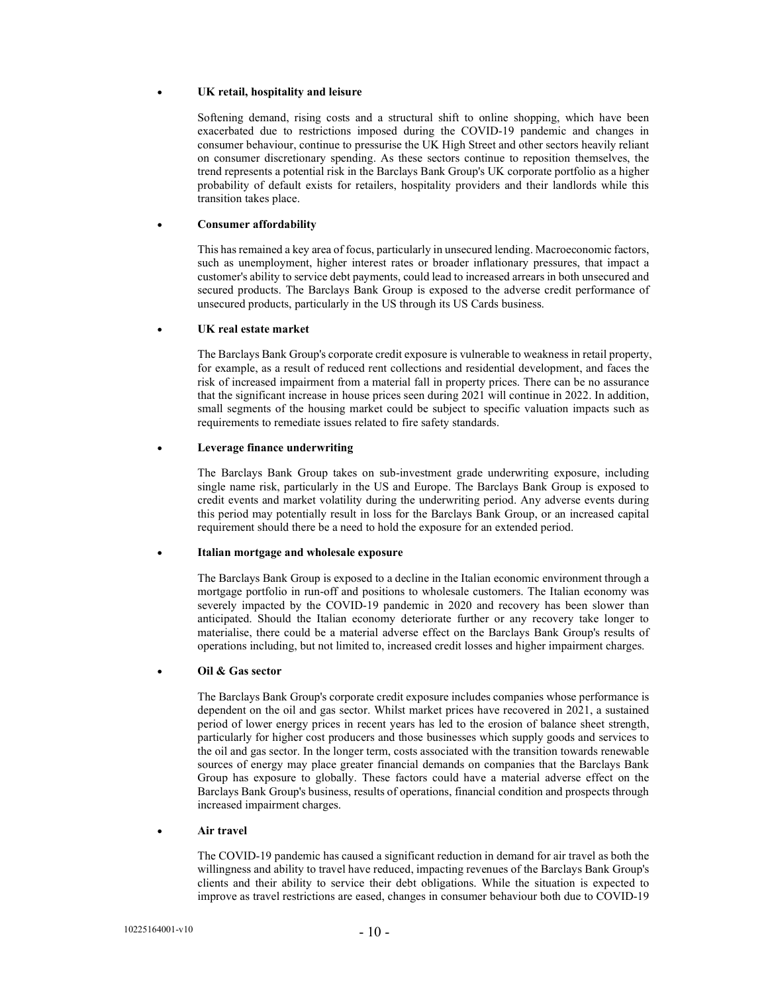#### UK retail, hospitality and leisure

Softening demand, rising costs and a structural shift to online shopping, which have been exacerbated due to restrictions imposed during the COVID-19 pandemic and changes in consumer behaviour, continue to pressurise the UK High Street and other sectors heavily reliant on consumer discretionary spending. As these sectors continue to reposition themselves, the trend represents a potential risk in the Barclays Bank Group's UK corporate portfolio as a higher probability of default exists for retailers, hospitality providers and their landlords while this transition takes place.

### Consumer affordability

This has remained a key area of focus, particularly in unsecured lending. Macroeconomic factors, such as unemployment, higher interest rates or broader inflationary pressures, that impact a customer's ability to service debt payments, could lead to increased arrears in both unsecured and secured products. The Barclays Bank Group is exposed to the adverse credit performance of unsecured products, particularly in the US through its US Cards business.

### UK real estate market

The Barclays Bank Group's corporate credit exposure is vulnerable to weakness in retail property, for example, as a result of reduced rent collections and residential development, and faces the risk of increased impairment from a material fall in property prices. There can be no assurance that the significant increase in house prices seen during 2021 will continue in 2022. In addition, small segments of the housing market could be subject to specific valuation impacts such as requirements to remediate issues related to fire safety standards.

### Leverage finance underwriting

The Barclays Bank Group takes on sub-investment grade underwriting exposure, including single name risk, particularly in the US and Europe. The Barclays Bank Group is exposed to credit events and market volatility during the underwriting period. Any adverse events during this period may potentially result in loss for the Barclays Bank Group, or an increased capital requirement should there be a need to hold the exposure for an extended period.

#### Italian mortgage and wholesale exposure

The Barclays Bank Group is exposed to a decline in the Italian economic environment through a mortgage portfolio in run-off and positions to wholesale customers. The Italian economy was severely impacted by the COVID-19 pandemic in 2020 and recovery has been slower than anticipated. Should the Italian economy deteriorate further or any recovery take longer to materialise, there could be a material adverse effect on the Barclays Bank Group's results of operations including, but not limited to, increased credit losses and higher impairment charges.

# Oil & Gas sector

The Barclays Bank Group's corporate credit exposure includes companies whose performance is dependent on the oil and gas sector. Whilst market prices have recovered in 2021, a sustained period of lower energy prices in recent years has led to the erosion of balance sheet strength, particularly for higher cost producers and those businesses which supply goods and services to the oil and gas sector. In the longer term, costs associated with the transition towards renewable sources of energy may place greater financial demands on companies that the Barclays Bank Group has exposure to globally. These factors could have a material adverse effect on the Barclays Bank Group's business, results of operations, financial condition and prospects through increased impairment charges.

### • **Air travel**

The COVID-19 pandemic has caused a significant reduction in demand for air travel as both the willingness and ability to travel have reduced, impacting revenues of the Barclays Bank Group's clients and their ability to service their debt obligations. While the situation is expected to improve as travel restrictions are eased, changes in consumer behaviour both due to COVID-19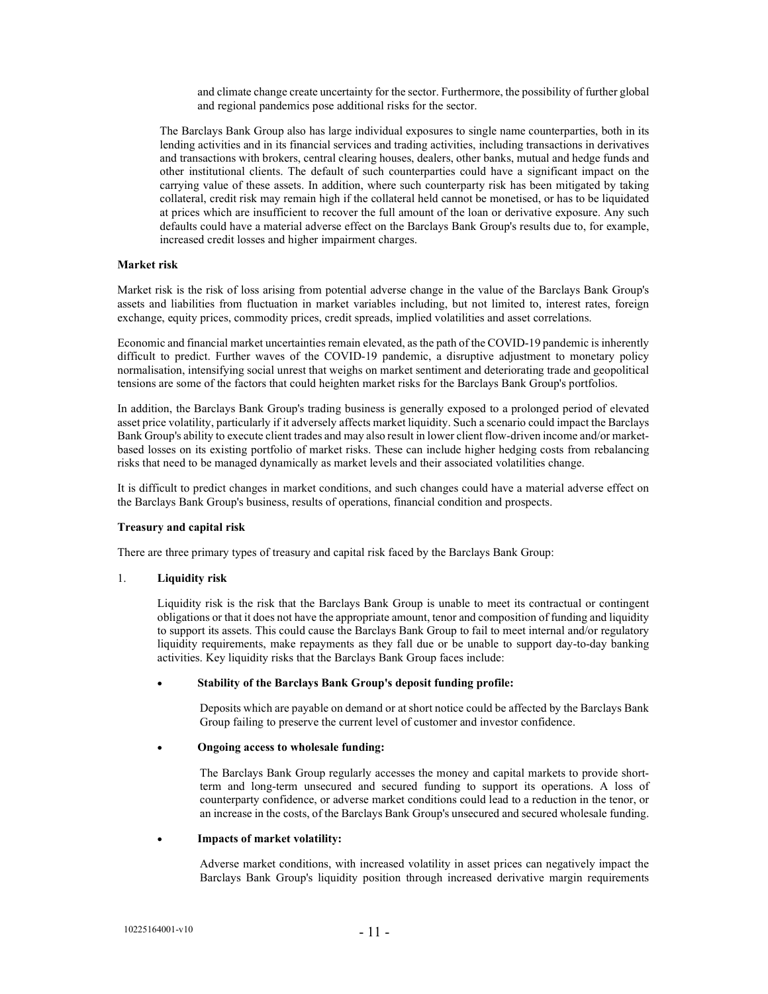and climate change create uncertainty for the sector. Furthermore, the possibility of further global and regional pandemics pose additional risks for the sector.

The Barclays Bank Group also has large individual exposures to single name counterparties, both in its lending activities and in its financial services and trading activities, including transactions in derivatives and transactions with brokers, central clearing houses, dealers, other banks, mutual and hedge funds and other institutional clients. The default of such counterparties could have a significant impact on the carrying value of these assets. In addition, where such counterparty risk has been mitigated by taking collateral, credit risk may remain high if the collateral held cannot be monetised, or has to be liquidated at prices which are insufficient to recover the full amount of the loan or derivative exposure. Any such defaults could have a material adverse effect on the Barclays Bank Group's results due to, for example, increased credit losses and higher impairment charges.

### Market risk

Market risk is the risk of loss arising from potential adverse change in the value of the Barclays Bank Group's assets and liabilities from fluctuation in market variables including, but not limited to, interest rates, foreign exchange, equity prices, commodity prices, credit spreads, implied volatilities and asset correlations.

Economic and financial market uncertainties remain elevated, as the path of the COVID-19 pandemic is inherently difficult to predict. Further waves of the COVID-19 pandemic, a disruptive adjustment to monetary policy normalisation, intensifying social unrest that weighs on market sentiment and deteriorating trade and geopolitical tensions are some of the factors that could heighten market risks for the Barclays Bank Group's portfolios.

In addition, the Barclays Bank Group's trading business is generally exposed to a prolonged period of elevated asset price volatility, particularly if it adversely affects market liquidity. Such a scenario could impact the Barclays Bank Group's ability to execute client trades and may also result in lower client flow-driven income and/or marketbased losses on its existing portfolio of market risks. These can include higher hedging costs from rebalancing risks that need to be managed dynamically as market levels and their associated volatilities change.

It is difficult to predict changes in market conditions, and such changes could have a material adverse effect on the Barclays Bank Group's business, results of operations, financial condition and prospects.

#### Treasury and capital risk

There are three primary types of treasury and capital risk faced by the Barclays Bank Group:

#### 1. Liquidity risk

Liquidity risk is the risk that the Barclays Bank Group is unable to meet its contractual or contingent obligations or that it does not have the appropriate amount, tenor and composition of funding and liquidity to support its assets. This could cause the Barclays Bank Group to fail to meet internal and/or regulatory liquidity requirements, make repayments as they fall due or be unable to support day-to-day banking activities. Key liquidity risks that the Barclays Bank Group faces include:

### Stability of the Barclays Bank Group's deposit funding profile:

Deposits which are payable on demand or at short notice could be affected by the Barclays Bank Group failing to preserve the current level of customer and investor confidence.

#### Ongoing access to wholesale funding:

The Barclays Bank Group regularly accesses the money and capital markets to provide shortterm and long-term unsecured and secured funding to support its operations. A loss of counterparty confidence, or adverse market conditions could lead to a reduction in the tenor, or an increase in the costs, of the Barclays Bank Group's unsecured and secured wholesale funding.

#### Impacts of market volatility:

Adverse market conditions, with increased volatility in asset prices can negatively impact the Barclays Bank Group's liquidity position through increased derivative margin requirements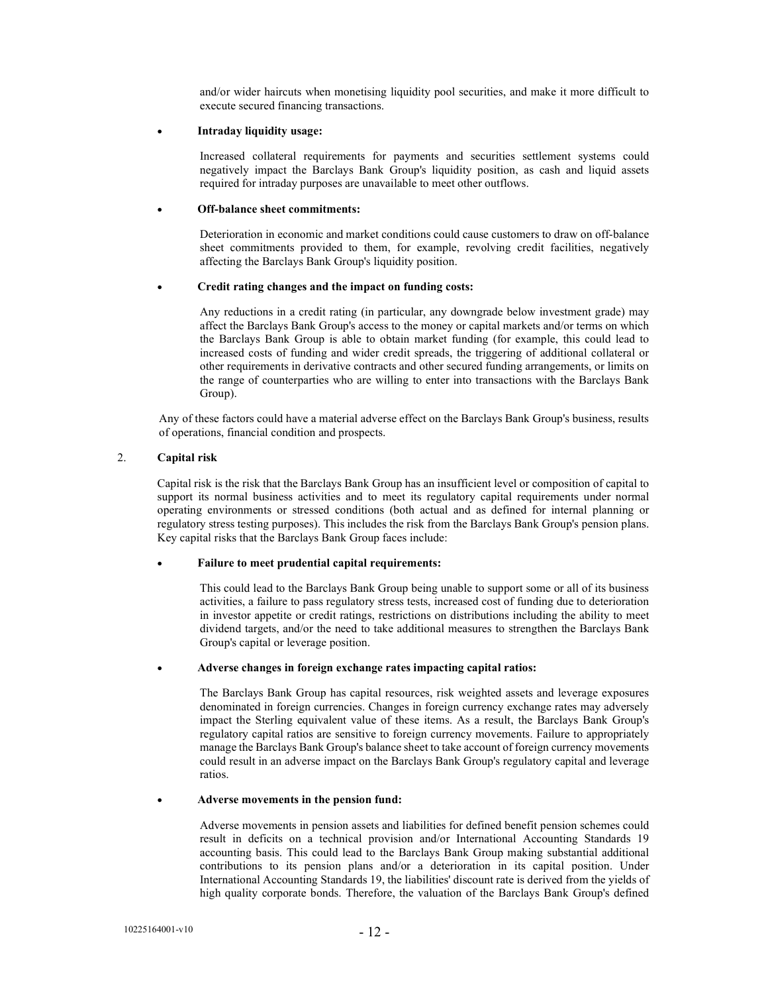and/or wider haircuts when monetising liquidity pool securities, and make it more difficult to execute secured financing transactions.

### Intraday liquidity usage:

Increased collateral requirements for payments and securities settlement systems could negatively impact the Barclays Bank Group's liquidity position, as cash and liquid assets required for intraday purposes are unavailable to meet other outflows.

### Off-balance sheet commitments:

Deterioration in economic and market conditions could cause customers to draw on off-balance sheet commitments provided to them, for example, revolving credit facilities, negatively affecting the Barclays Bank Group's liquidity position.

### Credit rating changes and the impact on funding costs:

Any reductions in a credit rating (in particular, any downgrade below investment grade) may affect the Barclays Bank Group's access to the money or capital markets and/or terms on which the Barclays Bank Group is able to obtain market funding (for example, this could lead to increased costs of funding and wider credit spreads, the triggering of additional collateral or other requirements in derivative contracts and other secured funding arrangements, or limits on the range of counterparties who are willing to enter into transactions with the Barclays Bank Group).

Any of these factors could have a material adverse effect on the Barclays Bank Group's business, results of operations, financial condition and prospects.

### 2. Capital risk

Capital risk is the risk that the Barclays Bank Group has an insufficient level or composition of capital to support its normal business activities and to meet its regulatory capital requirements under normal operating environments or stressed conditions (both actual and as defined for internal planning or regulatory stress testing purposes). This includes the risk from the Barclays Bank Group's pension plans. Key capital risks that the Barclays Bank Group faces include:

#### Failure to meet prudential capital requirements:

This could lead to the Barclays Bank Group being unable to support some or all of its business activities, a failure to pass regulatory stress tests, increased cost of funding due to deterioration in investor appetite or credit ratings, restrictions on distributions including the ability to meet dividend targets, and/or the need to take additional measures to strengthen the Barclays Bank Group's capital or leverage position.

#### Adverse changes in foreign exchange rates impacting capital ratios:

The Barclays Bank Group has capital resources, risk weighted assets and leverage exposures denominated in foreign currencies. Changes in foreign currency exchange rates may adversely impact the Sterling equivalent value of these items. As a result, the Barclays Bank Group's regulatory capital ratios are sensitive to foreign currency movements. Failure to appropriately manage the Barclays Bank Group's balance sheet to take account of foreign currency movements could result in an adverse impact on the Barclays Bank Group's regulatory capital and leverage ratios.

#### Adverse movements in the pension fund:

Adverse movements in pension assets and liabilities for defined benefit pension schemes could result in deficits on a technical provision and/or International Accounting Standards 19 accounting basis. This could lead to the Barclays Bank Group making substantial additional contributions to its pension plans and/or a deterioration in its capital position. Under International Accounting Standards 19, the liabilities' discount rate is derived from the yields of high quality corporate bonds. Therefore, the valuation of the Barclays Bank Group's defined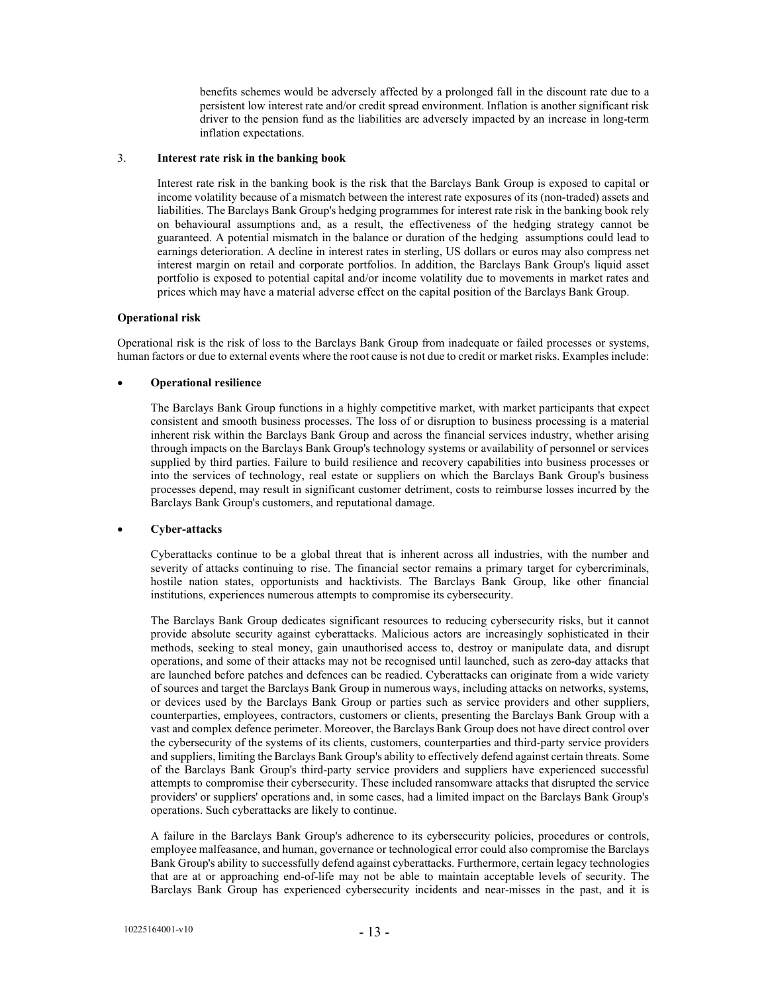benefits schemes would be adversely affected by a prolonged fall in the discount rate due to a persistent low interest rate and/or credit spread environment. Inflation is another significant risk driver to the pension fund as the liabilities are adversely impacted by an increase in long-term inflation expectations.

#### 3. Interest rate risk in the banking book

Interest rate risk in the banking book is the risk that the Barclays Bank Group is exposed to capital or income volatility because of a mismatch between the interest rate exposures of its (non-traded) assets and liabilities. The Barclays Bank Group's hedging programmes for interest rate risk in the banking book rely on behavioural assumptions and, as a result, the effectiveness of the hedging strategy cannot be guaranteed. A potential mismatch in the balance or duration of the hedging assumptions could lead to earnings deterioration. A decline in interest rates in sterling, US dollars or euros may also compress net interest margin on retail and corporate portfolios. In addition, the Barclays Bank Group's liquid asset portfolio is exposed to potential capital and/or income volatility due to movements in market rates and prices which may have a material adverse effect on the capital position of the Barclays Bank Group.

### Operational risk

Operational risk is the risk of loss to the Barclays Bank Group from inadequate or failed processes or systems, human factors or due to external events where the root cause is not due to credit or market risks. Examples include:

### Operational resilience

The Barclays Bank Group functions in a highly competitive market, with market participants that expect consistent and smooth business processes. The loss of or disruption to business processing is a material inherent risk within the Barclays Bank Group and across the financial services industry, whether arising through impacts on the Barclays Bank Group's technology systems or availability of personnel or services supplied by third parties. Failure to build resilience and recovery capabilities into business processes or into the services of technology, real estate or suppliers on which the Barclays Bank Group's business processes depend, may result in significant customer detriment, costs to reimburse losses incurred by the Barclays Bank Group's customers, and reputational damage.

#### Cyber-attacks

Cyberattacks continue to be a global threat that is inherent across all industries, with the number and severity of attacks continuing to rise. The financial sector remains a primary target for cybercriminals, hostile nation states, opportunists and hacktivists. The Barclays Bank Group, like other financial institutions, experiences numerous attempts to compromise its cybersecurity.

The Barclays Bank Group dedicates significant resources to reducing cybersecurity risks, but it cannot provide absolute security against cyberattacks. Malicious actors are increasingly sophisticated in their methods, seeking to steal money, gain unauthorised access to, destroy or manipulate data, and disrupt operations, and some of their attacks may not be recognised until launched, such as zero-day attacks that are launched before patches and defences can be readied. Cyberattacks can originate from a wide variety of sources and target the Barclays Bank Group in numerous ways, including attacks on networks, systems, or devices used by the Barclays Bank Group or parties such as service providers and other suppliers, counterparties, employees, contractors, customers or clients, presenting the Barclays Bank Group with a vast and complex defence perimeter. Moreover, the Barclays Bank Group does not have direct control over the cybersecurity of the systems of its clients, customers, counterparties and third-party service providers and suppliers, limiting the Barclays Bank Group's ability to effectively defend against certain threats. Some of the Barclays Bank Group's third-party service providers and suppliers have experienced successful attempts to compromise their cybersecurity. These included ransomware attacks that disrupted the service providers' or suppliers' operations and, in some cases, had a limited impact on the Barclays Bank Group's operations. Such cyberattacks are likely to continue.

A failure in the Barclays Bank Group's adherence to its cybersecurity policies, procedures or controls, employee malfeasance, and human, governance or technological error could also compromise the Barclays Bank Group's ability to successfully defend against cyberattacks. Furthermore, certain legacy technologies that are at or approaching end-of-life may not be able to maintain acceptable levels of security. The Barclays Bank Group has experienced cybersecurity incidents and near-misses in the past, and it is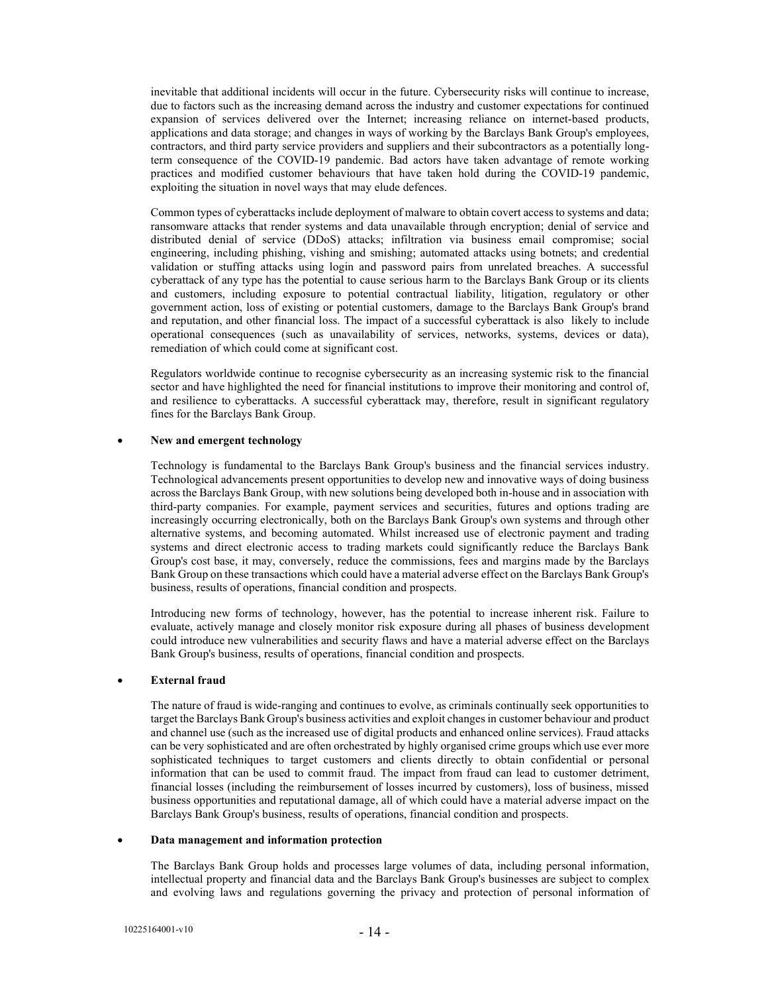inevitable that additional incidents will occur in the future. Cybersecurity risks will continue to increase, due to factors such as the increasing demand across the industry and customer expectations for continued expansion of services delivered over the Internet; increasing reliance on internet-based products, applications and data storage; and changes in ways of working by the Barclays Bank Group's employees, contractors, and third party service providers and suppliers and their subcontractors as a potentially longterm consequence of the COVID-19 pandemic. Bad actors have taken advantage of remote working practices and modified customer behaviours that have taken hold during the COVID-19 pandemic, exploiting the situation in novel ways that may elude defences.

Common types of cyberattacks include deployment of malware to obtain covert access to systems and data; ransomware attacks that render systems and data unavailable through encryption; denial of service and distributed denial of service (DDoS) attacks; infiltration via business email compromise; social engineering, including phishing, vishing and smishing; automated attacks using botnets; and credential validation or stuffing attacks using login and password pairs from unrelated breaches. A successful cyberattack of any type has the potential to cause serious harm to the Barclays Bank Group or its clients and customers, including exposure to potential contractual liability, litigation, regulatory or other government action, loss of existing or potential customers, damage to the Barclays Bank Group's brand and reputation, and other financial loss. The impact of a successful cyberattack is also likely to include operational consequences (such as unavailability of services, networks, systems, devices or data), remediation of which could come at significant cost.

Regulators worldwide continue to recognise cybersecurity as an increasing systemic risk to the financial sector and have highlighted the need for financial institutions to improve their monitoring and control of, and resilience to cyberattacks. A successful cyberattack may, therefore, result in significant regulatory fines for the Barclays Bank Group.

### New and emergent technology

Technology is fundamental to the Barclays Bank Group's business and the financial services industry. Technological advancements present opportunities to develop new and innovative ways of doing business across the Barclays Bank Group, with new solutions being developed both in-house and in association with third-party companies. For example, payment services and securities, futures and options trading are increasingly occurring electronically, both on the Barclays Bank Group's own systems and through other alternative systems, and becoming automated. Whilst increased use of electronic payment and trading systems and direct electronic access to trading markets could significantly reduce the Barclays Bank Group's cost base, it may, conversely, reduce the commissions, fees and margins made by the Barclays Bank Group on these transactions which could have a material adverse effect on the Barclays Bank Group's business, results of operations, financial condition and prospects.

Introducing new forms of technology, however, has the potential to increase inherent risk. Failure to evaluate, actively manage and closely monitor risk exposure during all phases of business development could introduce new vulnerabilities and security flaws and have a material adverse effect on the Barclays Bank Group's business, results of operations, financial condition and prospects.

### External fraud

The nature of fraud is wide-ranging and continues to evolve, as criminals continually seek opportunities to target the Barclays Bank Group's business activities and exploit changes in customer behaviour and product and channel use (such as the increased use of digital products and enhanced online services). Fraud attacks can be very sophisticated and are often orchestrated by highly organised crime groups which use ever more sophisticated techniques to target customers and clients directly to obtain confidential or personal information that can be used to commit fraud. The impact from fraud can lead to customer detriment, financial losses (including the reimbursement of losses incurred by customers), loss of business, missed business opportunities and reputational damage, all of which could have a material adverse impact on the Barclays Bank Group's business, results of operations, financial condition and prospects.

#### Data management and information protection

The Barclays Bank Group holds and processes large volumes of data, including personal information, intellectual property and financial data and the Barclays Bank Group's businesses are subject to complex and evolving laws and regulations governing the privacy and protection of personal information of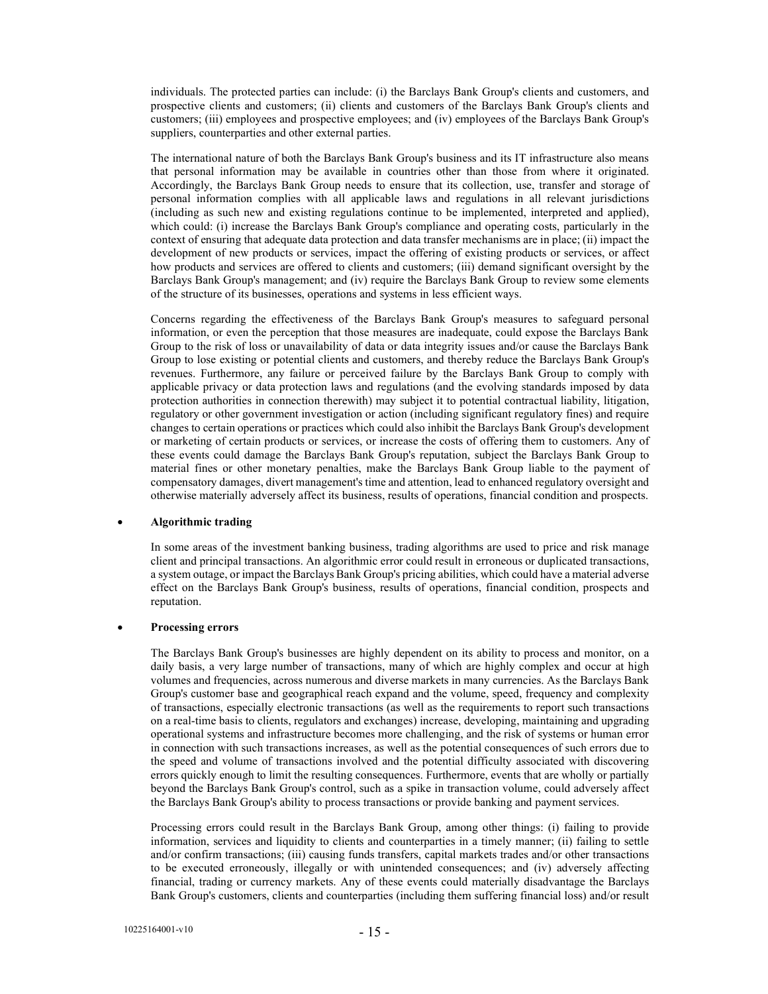individuals. The protected parties can include: (i) the Barclays Bank Group's clients and customers, and prospective clients and customers; (ii) clients and customers of the Barclays Bank Group's clients and customers; (iii) employees and prospective employees; and (iv) employees of the Barclays Bank Group's suppliers, counterparties and other external parties.

The international nature of both the Barclays Bank Group's business and its IT infrastructure also means that personal information may be available in countries other than those from where it originated. Accordingly, the Barclays Bank Group needs to ensure that its collection, use, transfer and storage of personal information complies with all applicable laws and regulations in all relevant jurisdictions (including as such new and existing regulations continue to be implemented, interpreted and applied), which could: (i) increase the Barclays Bank Group's compliance and operating costs, particularly in the context of ensuring that adequate data protection and data transfer mechanisms are in place; (ii) impact the development of new products or services, impact the offering of existing products or services, or affect how products and services are offered to clients and customers; (iii) demand significant oversight by the Barclays Bank Group's management; and (iv) require the Barclays Bank Group to review some elements of the structure of its businesses, operations and systems in less efficient ways.

Concerns regarding the effectiveness of the Barclays Bank Group's measures to safeguard personal information, or even the perception that those measures are inadequate, could expose the Barclays Bank Group to the risk of loss or unavailability of data or data integrity issues and/or cause the Barclays Bank Group to lose existing or potential clients and customers, and thereby reduce the Barclays Bank Group's revenues. Furthermore, any failure or perceived failure by the Barclays Bank Group to comply with applicable privacy or data protection laws and regulations (and the evolving standards imposed by data protection authorities in connection therewith) may subject it to potential contractual liability, litigation, regulatory or other government investigation or action (including significant regulatory fines) and require changes to certain operations or practices which could also inhibit the Barclays Bank Group's development or marketing of certain products or services, or increase the costs of offering them to customers. Any of these events could damage the Barclays Bank Group's reputation, subject the Barclays Bank Group to material fines or other monetary penalties, make the Barclays Bank Group liable to the payment of compensatory damages, divert management's time and attention, lead to enhanced regulatory oversight and otherwise materially adversely affect its business, results of operations, financial condition and prospects.

### Algorithmic trading

In some areas of the investment banking business, trading algorithms are used to price and risk manage client and principal transactions. An algorithmic error could result in erroneous or duplicated transactions, a system outage, or impact the Barclays Bank Group's pricing abilities, which could have a material adverse effect on the Barclays Bank Group's business, results of operations, financial condition, prospects and reputation.

### Processing errors

The Barclays Bank Group's businesses are highly dependent on its ability to process and monitor, on a daily basis, a very large number of transactions, many of which are highly complex and occur at high volumes and frequencies, across numerous and diverse markets in many currencies. As the Barclays Bank Group's customer base and geographical reach expand and the volume, speed, frequency and complexity of transactions, especially electronic transactions (as well as the requirements to report such transactions on a real-time basis to clients, regulators and exchanges) increase, developing, maintaining and upgrading operational systems and infrastructure becomes more challenging, and the risk of systems or human error in connection with such transactions increases, as well as the potential consequences of such errors due to the speed and volume of transactions involved and the potential difficulty associated with discovering errors quickly enough to limit the resulting consequences. Furthermore, events that are wholly or partially beyond the Barclays Bank Group's control, such as a spike in transaction volume, could adversely affect the Barclays Bank Group's ability to process transactions or provide banking and payment services.

Processing errors could result in the Barclays Bank Group, among other things: (i) failing to provide information, services and liquidity to clients and counterparties in a timely manner; (ii) failing to settle and/or confirm transactions; (iii) causing funds transfers, capital markets trades and/or other transactions to be executed erroneously, illegally or with unintended consequences; and (iv) adversely affecting financial, trading or currency markets. Any of these events could materially disadvantage the Barclays Bank Group's customers, clients and counterparties (including them suffering financial loss) and/or result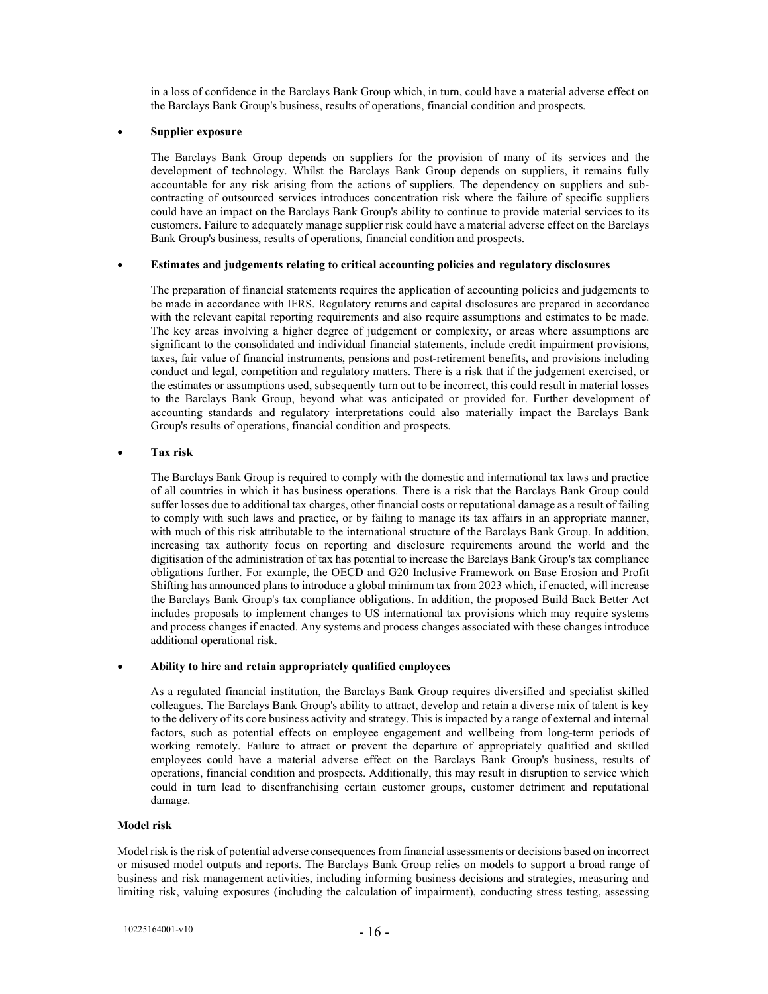in a loss of confidence in the Barclays Bank Group which, in turn, could have a material adverse effect on the Barclays Bank Group's business, results of operations, financial condition and prospects.

### Supplier exposure

The Barclays Bank Group depends on suppliers for the provision of many of its services and the development of technology. Whilst the Barclays Bank Group depends on suppliers, it remains fully accountable for any risk arising from the actions of suppliers. The dependency on suppliers and subcontracting of outsourced services introduces concentration risk where the failure of specific suppliers could have an impact on the Barclays Bank Group's ability to continue to provide material services to its customers. Failure to adequately manage supplier risk could have a material adverse effect on the Barclays Bank Group's business, results of operations, financial condition and prospects.

### Estimates and judgements relating to critical accounting policies and regulatory disclosures

The preparation of financial statements requires the application of accounting policies and judgements to be made in accordance with IFRS. Regulatory returns and capital disclosures are prepared in accordance with the relevant capital reporting requirements and also require assumptions and estimates to be made. The key areas involving a higher degree of judgement or complexity, or areas where assumptions are significant to the consolidated and individual financial statements, include credit impairment provisions, taxes, fair value of financial instruments, pensions and post-retirement benefits, and provisions including conduct and legal, competition and regulatory matters. There is a risk that if the judgement exercised, or the estimates or assumptions used, subsequently turn out to be incorrect, this could result in material losses to the Barclays Bank Group, beyond what was anticipated or provided for. Further development of accounting standards and regulatory interpretations could also materially impact the Barclays Bank Group's results of operations, financial condition and prospects.

### Tax risk

The Barclays Bank Group is required to comply with the domestic and international tax laws and practice of all countries in which it has business operations. There is a risk that the Barclays Bank Group could suffer losses due to additional tax charges, other financial costs or reputational damage as a result of failing to comply with such laws and practice, or by failing to manage its tax affairs in an appropriate manner, with much of this risk attributable to the international structure of the Barclays Bank Group. In addition, increasing tax authority focus on reporting and disclosure requirements around the world and the digitisation of the administration of tax has potential to increase the Barclays Bank Group's tax compliance obligations further. For example, the OECD and G20 Inclusive Framework on Base Erosion and Profit Shifting has announced plans to introduce a global minimum tax from 2023 which, if enacted, will increase the Barclays Bank Group's tax compliance obligations. In addition, the proposed Build Back Better Act includes proposals to implement changes to US international tax provisions which may require systems and process changes if enacted. Any systems and process changes associated with these changes introduce additional operational risk.

#### Ability to hire and retain appropriately qualified employees

As a regulated financial institution, the Barclays Bank Group requires diversified and specialist skilled colleagues. The Barclays Bank Group's ability to attract, develop and retain a diverse mix of talent is key to the delivery of its core business activity and strategy. This is impacted by a range of external and internal factors, such as potential effects on employee engagement and wellbeing from long-term periods of working remotely. Failure to attract or prevent the departure of appropriately qualified and skilled employees could have a material adverse effect on the Barclays Bank Group's business, results of operations, financial condition and prospects. Additionally, this may result in disruption to service which could in turn lead to disenfranchising certain customer groups, customer detriment and reputational damage.

#### Model risk

Model risk is the risk of potential adverse consequences from financial assessments or decisions based on incorrect or misused model outputs and reports. The Barclays Bank Group relies on models to support a broad range of business and risk management activities, including informing business decisions and strategies, measuring and limiting risk, valuing exposures (including the calculation of impairment), conducting stress testing, assessing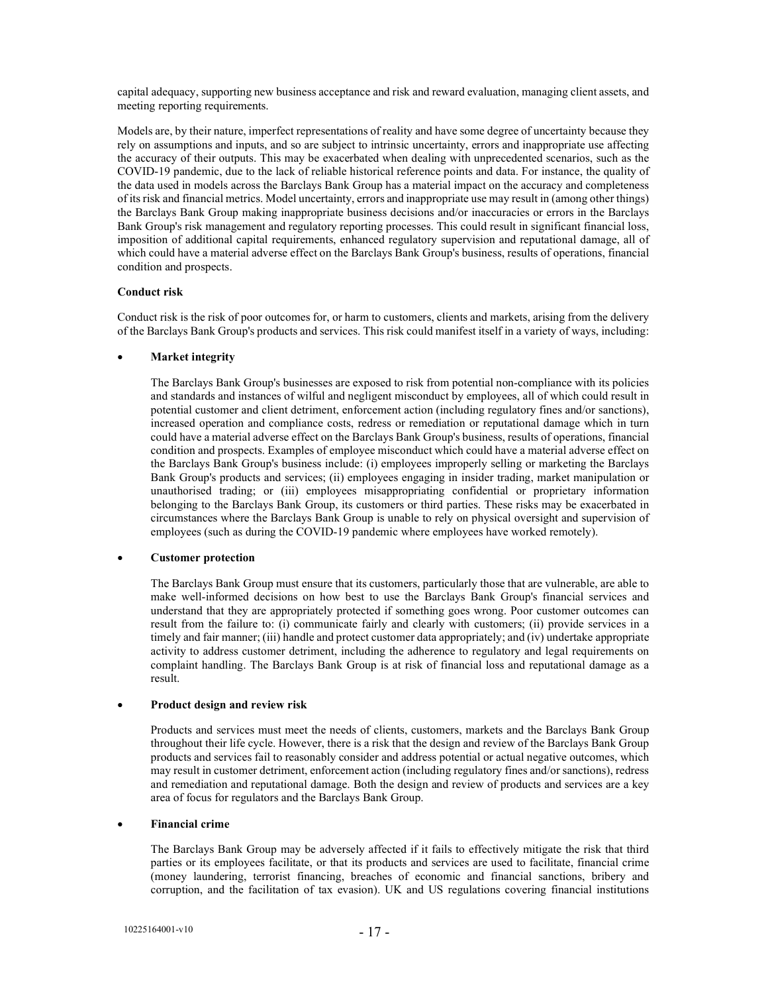capital adequacy, supporting new business acceptance and risk and reward evaluation, managing client assets, and meeting reporting requirements.

Models are, by their nature, imperfect representations of reality and have some degree of uncertainty because they rely on assumptions and inputs, and so are subject to intrinsic uncertainty, errors and inappropriate use affecting the accuracy of their outputs. This may be exacerbated when dealing with unprecedented scenarios, such as the COVID-19 pandemic, due to the lack of reliable historical reference points and data. For instance, the quality of the data used in models across the Barclays Bank Group has a material impact on the accuracy and completeness of its risk and financial metrics. Model uncertainty, errors and inappropriate use may result in (among other things) the Barclays Bank Group making inappropriate business decisions and/or inaccuracies or errors in the Barclays Bank Group's risk management and regulatory reporting processes. This could result in significant financial loss, imposition of additional capital requirements, enhanced regulatory supervision and reputational damage, all of which could have a material adverse effect on the Barclays Bank Group's business, results of operations, financial condition and prospects.

### Conduct risk

Conduct risk is the risk of poor outcomes for, or harm to customers, clients and markets, arising from the delivery of the Barclays Bank Group's products and services. This risk could manifest itself in a variety of ways, including:

# Market integrity

The Barclays Bank Group's businesses are exposed to risk from potential non-compliance with its policies and standards and instances of wilful and negligent misconduct by employees, all of which could result in potential customer and client detriment, enforcement action (including regulatory fines and/or sanctions), increased operation and compliance costs, redress or remediation or reputational damage which in turn could have a material adverse effect on the Barclays Bank Group's business, results of operations, financial condition and prospects. Examples of employee misconduct which could have a material adverse effect on the Barclays Bank Group's business include: (i) employees improperly selling or marketing the Barclays Bank Group's products and services; (ii) employees engaging in insider trading, market manipulation or unauthorised trading; or (iii) employees misappropriating confidential or proprietary information belonging to the Barclays Bank Group, its customers or third parties. These risks may be exacerbated in circumstances where the Barclays Bank Group is unable to rely on physical oversight and supervision of employees (such as during the COVID-19 pandemic where employees have worked remotely).

### Customer protection

The Barclays Bank Group must ensure that its customers, particularly those that are vulnerable, are able to make well-informed decisions on how best to use the Barclays Bank Group's financial services and understand that they are appropriately protected if something goes wrong. Poor customer outcomes can result from the failure to: (i) communicate fairly and clearly with customers; (ii) provide services in a timely and fair manner; (iii) handle and protect customer data appropriately; and (iv) undertake appropriate activity to address customer detriment, including the adherence to regulatory and legal requirements on complaint handling. The Barclays Bank Group is at risk of financial loss and reputational damage as a result.

### Product design and review risk

Products and services must meet the needs of clients, customers, markets and the Barclays Bank Group throughout their life cycle. However, there is a risk that the design and review of the Barclays Bank Group products and services fail to reasonably consider and address potential or actual negative outcomes, which may result in customer detriment, enforcement action (including regulatory fines and/or sanctions), redress and remediation and reputational damage. Both the design and review of products and services are a key area of focus for regulators and the Barclays Bank Group.

# Financial crime

The Barclays Bank Group may be adversely affected if it fails to effectively mitigate the risk that third parties or its employees facilitate, or that its products and services are used to facilitate, financial crime (money laundering, terrorist financing, breaches of economic and financial sanctions, bribery and corruption, and the facilitation of tax evasion). UK and US regulations covering financial institutions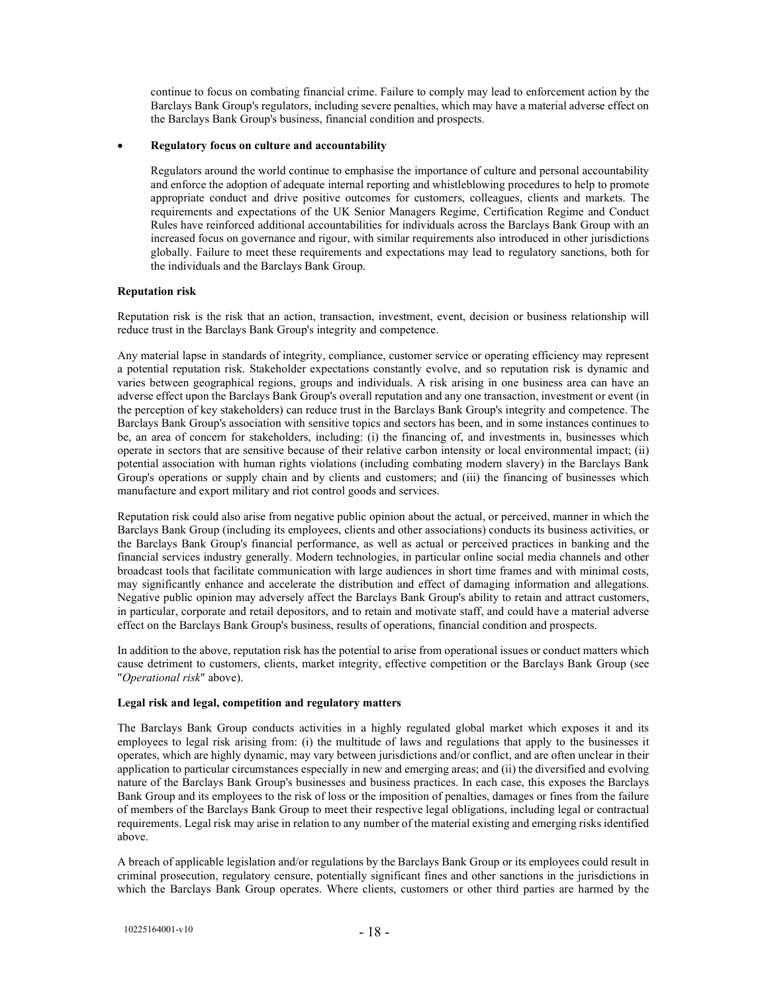continue to focus on combating financial crime. Failure to comply may lead to enforcement action by the Barclays Bank Group's regulators, including severe penalties, which may have a material adverse effect on the Barclays Bank Group's business, financial condition and prospects.

### Regulatory focus on culture and accountability

Regulators around the world continue to emphasise the importance of culture and personal accountability and enforce the adoption of adequate internal reporting and whistleblowing procedures to help to promote appropriate conduct and drive positive outcomes for customers, colleagues, clients and markets. The requirements and expectations of the UK Senior Managers Regime, Certification Regime and Conduct Rules have reinforced additional accountabilities for individuals across the Barclays Bank Group with an increased focus on governance and rigour, with similar requirements also introduced in other jurisdictions globally. Failure to meet these requirements and expectations may lead to regulatory sanctions, both for the individuals and the Barclays Bank Group.

### Reputation risk

Reputation risk is the risk that an action, transaction, investment, event, decision or business relationship will reduce trust in the Barclays Bank Group's integrity and competence.

Any material lapse in standards of integrity, compliance, customer service or operating efficiency may represent a potential reputation risk. Stakeholder expectations constantly evolve, and so reputation risk is dynamic and varies between geographical regions, groups and individuals. A risk arising in one business area can have an adverse effect upon the Barclays Bank Group's overall reputation and any one transaction, investment or event (in the perception of key stakeholders) can reduce trust in the Barclays Bank Group's integrity and competence. The Barclays Bank Group's association with sensitive topics and sectors has been, and in some instances continues to be, an area of concern for stakeholders, including: (i) the financing of, and investments in, businesses which operate in sectors that are sensitive because of their relative carbon intensity or local environmental impact; (ii) potential association with human rights violations (including combating modern slavery) in the Barclays Bank Group's operations or supply chain and by clients and customers; and (iii) the financing of businesses which manufacture and export military and riot control goods and services.

Reputation risk could also arise from negative public opinion about the actual, or perceived, manner in which the Barclays Bank Group (including its employees, clients and other associations) conducts its business activities, or the Barclays Bank Group's financial performance, as well as actual or perceived practices in banking and the financial services industry generally. Modern technologies, in particular online social media channels and other broadcast tools that facilitate communication with large audiences in short time frames and with minimal costs, may significantly enhance and accelerate the distribution and effect of damaging information and allegations. Negative public opinion may adversely affect the Barclays Bank Group's ability to retain and attract customers, in particular, corporate and retail depositors, and to retain and motivate staff, and could have a material adverse effect on the Barclays Bank Group's business, results of operations, financial condition and prospects.

In addition to the above, reputation risk has the potential to arise from operational issues or conduct matters which cause detriment to customers, clients, market integrity, effective competition or the Barclays Bank Group (see "Operational risk" above).

### Legal risk and legal, competition and regulatory matters

The Barclays Bank Group conducts activities in a highly regulated global market which exposes it and its employees to legal risk arising from: (i) the multitude of laws and regulations that apply to the businesses it operates, which are highly dynamic, may vary between jurisdictions and/or conflict, and are often unclear in their application to particular circumstances especially in new and emerging areas; and (ii) the diversified and evolving nature of the Barclays Bank Group's businesses and business practices. In each case, this exposes the Barclays Bank Group and its employees to the risk of loss or the imposition of penalties, damages or fines from the failure of members of the Barclays Bank Group to meet their respective legal obligations, including legal or contractual requirements. Legal risk may arise in relation to any number of the material existing and emerging risks identified above.

A breach of applicable legislation and/or regulations by the Barclays Bank Group or its employees could result in criminal prosecution, regulatory censure, potentially significant fines and other sanctions in the jurisdictions in which the Barclays Bank Group operates. Where clients, customers or other third parties are harmed by the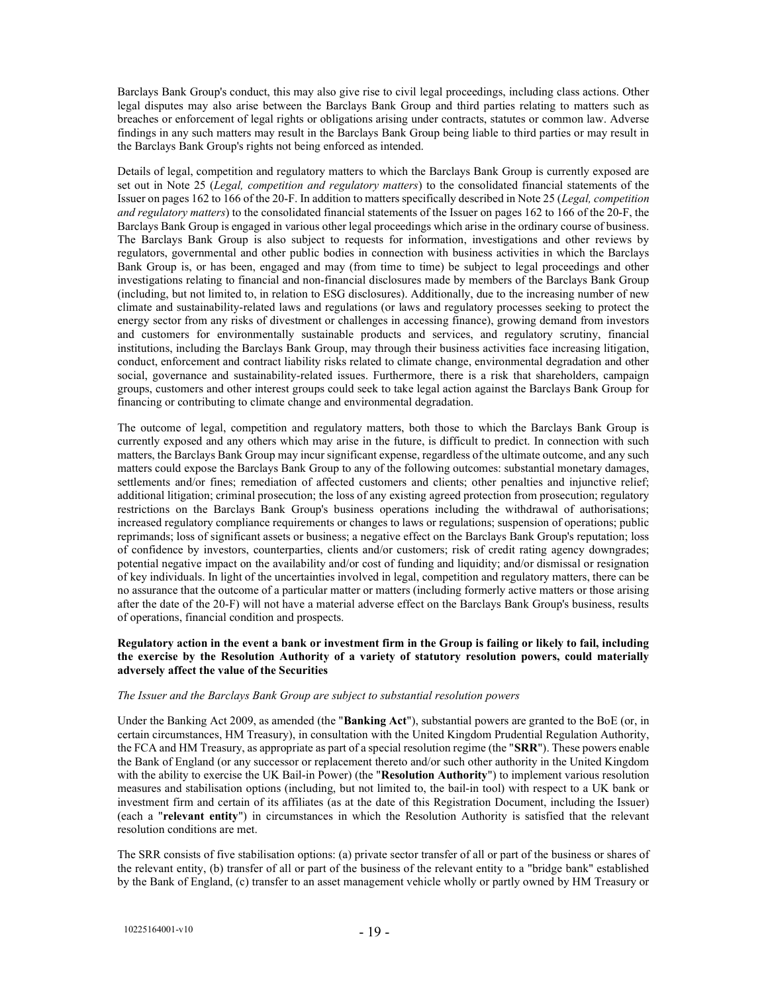Barclays Bank Group's conduct, this may also give rise to civil legal proceedings, including class actions. Other legal disputes may also arise between the Barclays Bank Group and third parties relating to matters such as breaches or enforcement of legal rights or obligations arising under contracts, statutes or common law. Adverse findings in any such matters may result in the Barclays Bank Group being liable to third parties or may result in the Barclays Bank Group's rights not being enforced as intended.

Details of legal, competition and regulatory matters to which the Barclays Bank Group is currently exposed are set out in Note 25 (Legal, competition and regulatory matters) to the consolidated financial statements of the Issuer on pages 162 to 166 of the 20-F. In addition to matters specifically described in Note 25 (Legal, competition and regulatory matters) to the consolidated financial statements of the Issuer on pages 162 to 166 of the 20-F, the Barclays Bank Group is engaged in various other legal proceedings which arise in the ordinary course of business. The Barclays Bank Group is also subject to requests for information, investigations and other reviews by regulators, governmental and other public bodies in connection with business activities in which the Barclays Bank Group is, or has been, engaged and may (from time to time) be subject to legal proceedings and other investigations relating to financial and non-financial disclosures made by members of the Barclays Bank Group (including, but not limited to, in relation to ESG disclosures). Additionally, due to the increasing number of new climate and sustainability-related laws and regulations (or laws and regulatory processes seeking to protect the energy sector from any risks of divestment or challenges in accessing finance), growing demand from investors and customers for environmentally sustainable products and services, and regulatory scrutiny, financial institutions, including the Barclays Bank Group, may through their business activities face increasing litigation, conduct, enforcement and contract liability risks related to climate change, environmental degradation and other social, governance and sustainability-related issues. Furthermore, there is a risk that shareholders, campaign groups, customers and other interest groups could seek to take legal action against the Barclays Bank Group for financing or contributing to climate change and environmental degradation.

The outcome of legal, competition and regulatory matters, both those to which the Barclays Bank Group is currently exposed and any others which may arise in the future, is difficult to predict. In connection with such matters, the Barclays Bank Group may incur significant expense, regardless of the ultimate outcome, and any such matters could expose the Barclays Bank Group to any of the following outcomes: substantial monetary damages, settlements and/or fines; remediation of affected customers and clients; other penalties and injunctive relief; additional litigation; criminal prosecution; the loss of any existing agreed protection from prosecution; regulatory restrictions on the Barclays Bank Group's business operations including the withdrawal of authorisations; increased regulatory compliance requirements or changes to laws or regulations; suspension of operations; public reprimands; loss of significant assets or business; a negative effect on the Barclays Bank Group's reputation; loss of confidence by investors, counterparties, clients and/or customers; risk of credit rating agency downgrades; potential negative impact on the availability and/or cost of funding and liquidity; and/or dismissal or resignation of key individuals. In light of the uncertainties involved in legal, competition and regulatory matters, there can be no assurance that the outcome of a particular matter or matters (including formerly active matters or those arising after the date of the 20-F) will not have a material adverse effect on the Barclays Bank Group's business, results of operations, financial condition and prospects.

### Regulatory action in the event a bank or investment firm in the Group is failing or likely to fail, including the exercise by the Resolution Authority of a variety of statutory resolution powers, could materially adversely affect the value of the Securities

### The Issuer and the Barclays Bank Group are subject to substantial resolution powers

Under the Banking Act 2009, as amended (the "Banking Act"), substantial powers are granted to the BoE (or, in certain circumstances, HM Treasury), in consultation with the United Kingdom Prudential Regulation Authority, the FCA and HM Treasury, as appropriate as part of a special resolution regime (the "SRR"). These powers enable the Bank of England (or any successor or replacement thereto and/or such other authority in the United Kingdom with the ability to exercise the UK Bail-in Power) (the "**Resolution Authority**") to implement various resolution measures and stabilisation options (including, but not limited to, the bail-in tool) with respect to a UK bank or investment firm and certain of its affiliates (as at the date of this Registration Document, including the Issuer) (each a "relevant entity") in circumstances in which the Resolution Authority is satisfied that the relevant resolution conditions are met.

The SRR consists of five stabilisation options: (a) private sector transfer of all or part of the business or shares of the relevant entity, (b) transfer of all or part of the business of the relevant entity to a "bridge bank" established by the Bank of England, (c) transfer to an asset management vehicle wholly or partly owned by HM Treasury or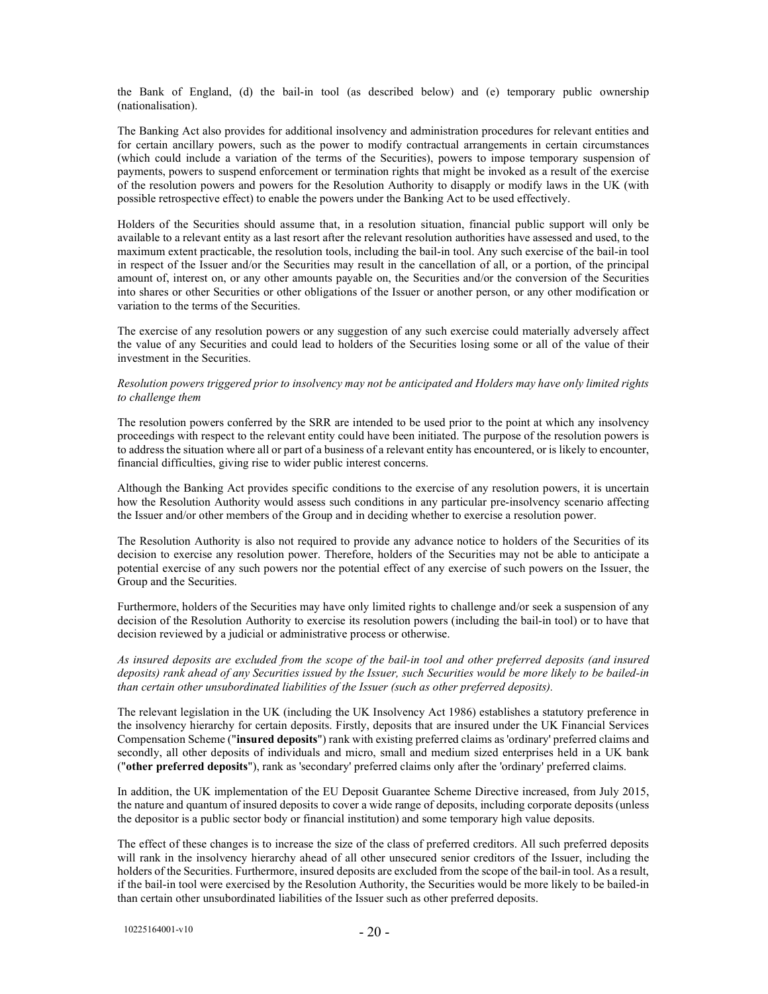the Bank of England, (d) the bail-in tool (as described below) and (e) temporary public ownership (nationalisation).

The Banking Act also provides for additional insolvency and administration procedures for relevant entities and for certain ancillary powers, such as the power to modify contractual arrangements in certain circumstances (which could include a variation of the terms of the Securities), powers to impose temporary suspension of payments, powers to suspend enforcement or termination rights that might be invoked as a result of the exercise of the resolution powers and powers for the Resolution Authority to disapply or modify laws in the UK (with possible retrospective effect) to enable the powers under the Banking Act to be used effectively.

Holders of the Securities should assume that, in a resolution situation, financial public support will only be available to a relevant entity as a last resort after the relevant resolution authorities have assessed and used, to the maximum extent practicable, the resolution tools, including the bail-in tool. Any such exercise of the bail-in tool in respect of the Issuer and/or the Securities may result in the cancellation of all, or a portion, of the principal amount of, interest on, or any other amounts payable on, the Securities and/or the conversion of the Securities into shares or other Securities or other obligations of the Issuer or another person, or any other modification or variation to the terms of the Securities.

The exercise of any resolution powers or any suggestion of any such exercise could materially adversely affect the value of any Securities and could lead to holders of the Securities losing some or all of the value of their investment in the Securities.

#### Resolution powers triggered prior to insolvency may not be anticipated and Holders may have only limited rights to challenge them

The resolution powers conferred by the SRR are intended to be used prior to the point at which any insolvency proceedings with respect to the relevant entity could have been initiated. The purpose of the resolution powers is to address the situation where all or part of a business of a relevant entity has encountered, or is likely to encounter, financial difficulties, giving rise to wider public interest concerns.

Although the Banking Act provides specific conditions to the exercise of any resolution powers, it is uncertain how the Resolution Authority would assess such conditions in any particular pre-insolvency scenario affecting the Issuer and/or other members of the Group and in deciding whether to exercise a resolution power.

The Resolution Authority is also not required to provide any advance notice to holders of the Securities of its decision to exercise any resolution power. Therefore, holders of the Securities may not be able to anticipate a potential exercise of any such powers nor the potential effect of any exercise of such powers on the Issuer, the Group and the Securities.

Furthermore, holders of the Securities may have only limited rights to challenge and/or seek a suspension of any decision of the Resolution Authority to exercise its resolution powers (including the bail-in tool) or to have that decision reviewed by a judicial or administrative process or otherwise.

As insured deposits are excluded from the scope of the bail-in tool and other preferred deposits (and insured deposits) rank ahead of any Securities issued by the Issuer, such Securities would be more likely to be bailed-in than certain other unsubordinated liabilities of the Issuer (such as other preferred deposits).

The relevant legislation in the UK (including the UK Insolvency Act 1986) establishes a statutory preference in the insolvency hierarchy for certain deposits. Firstly, deposits that are insured under the UK Financial Services Compensation Scheme ("insured deposits") rank with existing preferred claims as 'ordinary' preferred claims and secondly, all other deposits of individuals and micro, small and medium sized enterprises held in a UK bank ("other preferred deposits"), rank as 'secondary' preferred claims only after the 'ordinary' preferred claims.

In addition, the UK implementation of the EU Deposit Guarantee Scheme Directive increased, from July 2015, the nature and quantum of insured deposits to cover a wide range of deposits, including corporate deposits (unless the depositor is a public sector body or financial institution) and some temporary high value deposits.

The effect of these changes is to increase the size of the class of preferred creditors. All such preferred deposits will rank in the insolvency hierarchy ahead of all other unsecured senior creditors of the Issuer, including the holders of the Securities. Furthermore, insured deposits are excluded from the scope of the bail-in tool. As a result, if the bail-in tool were exercised by the Resolution Authority, the Securities would be more likely to be bailed-in than certain other unsubordinated liabilities of the Issuer such as other preferred deposits.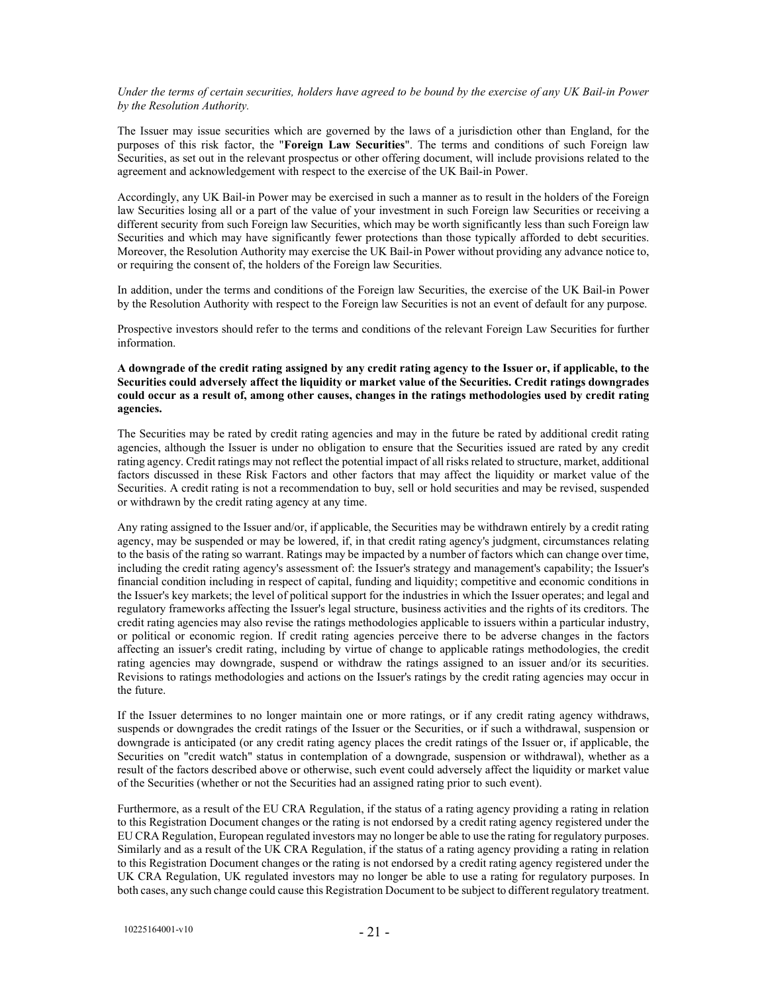Under the terms of certain securities, holders have agreed to be bound by the exercise of any UK Bail-in Power by the Resolution Authority.

The Issuer may issue securities which are governed by the laws of a jurisdiction other than England, for the purposes of this risk factor, the "Foreign Law Securities". The terms and conditions of such Foreign law Securities, as set out in the relevant prospectus or other offering document, will include provisions related to the agreement and acknowledgement with respect to the exercise of the UK Bail-in Power.

Accordingly, any UK Bail-in Power may be exercised in such a manner as to result in the holders of the Foreign law Securities losing all or a part of the value of your investment in such Foreign law Securities or receiving a different security from such Foreign law Securities, which may be worth significantly less than such Foreign law Securities and which may have significantly fewer protections than those typically afforded to debt securities. Moreover, the Resolution Authority may exercise the UK Bail-in Power without providing any advance notice to, or requiring the consent of, the holders of the Foreign law Securities.

In addition, under the terms and conditions of the Foreign law Securities, the exercise of the UK Bail-in Power by the Resolution Authority with respect to the Foreign law Securities is not an event of default for any purpose.

Prospective investors should refer to the terms and conditions of the relevant Foreign Law Securities for further information.

### A downgrade of the credit rating assigned by any credit rating agency to the Issuer or, if applicable, to the Securities could adversely affect the liquidity or market value of the Securities. Credit ratings downgrades could occur as a result of, among other causes, changes in the ratings methodologies used by credit rating agencies.

The Securities may be rated by credit rating agencies and may in the future be rated by additional credit rating agencies, although the Issuer is under no obligation to ensure that the Securities issued are rated by any credit rating agency. Credit ratings may not reflect the potential impact of all risks related to structure, market, additional factors discussed in these Risk Factors and other factors that may affect the liquidity or market value of the Securities. A credit rating is not a recommendation to buy, sell or hold securities and may be revised, suspended or withdrawn by the credit rating agency at any time.

Any rating assigned to the Issuer and/or, if applicable, the Securities may be withdrawn entirely by a credit rating agency, may be suspended or may be lowered, if, in that credit rating agency's judgment, circumstances relating to the basis of the rating so warrant. Ratings may be impacted by a number of factors which can change over time, including the credit rating agency's assessment of: the Issuer's strategy and management's capability; the Issuer's financial condition including in respect of capital, funding and liquidity; competitive and economic conditions in the Issuer's key markets; the level of political support for the industries in which the Issuer operates; and legal and regulatory frameworks affecting the Issuer's legal structure, business activities and the rights of its creditors. The credit rating agencies may also revise the ratings methodologies applicable to issuers within a particular industry, or political or economic region. If credit rating agencies perceive there to be adverse changes in the factors affecting an issuer's credit rating, including by virtue of change to applicable ratings methodologies, the credit rating agencies may downgrade, suspend or withdraw the ratings assigned to an issuer and/or its securities. Revisions to ratings methodologies and actions on the Issuer's ratings by the credit rating agencies may occur in the future.

If the Issuer determines to no longer maintain one or more ratings, or if any credit rating agency withdraws, suspends or downgrades the credit ratings of the Issuer or the Securities, or if such a withdrawal, suspension or downgrade is anticipated (or any credit rating agency places the credit ratings of the Issuer or, if applicable, the Securities on "credit watch" status in contemplation of a downgrade, suspension or withdrawal), whether as a result of the factors described above or otherwise, such event could adversely affect the liquidity or market value of the Securities (whether or not the Securities had an assigned rating prior to such event).

Furthermore, as a result of the EU CRA Regulation, if the status of a rating agency providing a rating in relation to this Registration Document changes or the rating is not endorsed by a credit rating agency registered under the EU CRA Regulation, European regulated investors may no longer be able to use the rating for regulatory purposes. Similarly and as a result of the UK CRA Regulation, if the status of a rating agency providing a rating in relation to this Registration Document changes or the rating is not endorsed by a credit rating agency registered under the UK CRA Regulation, UK regulated investors may no longer be able to use a rating for regulatory purposes. In both cases, any such change could cause this Registration Document to be subject to different regulatory treatment.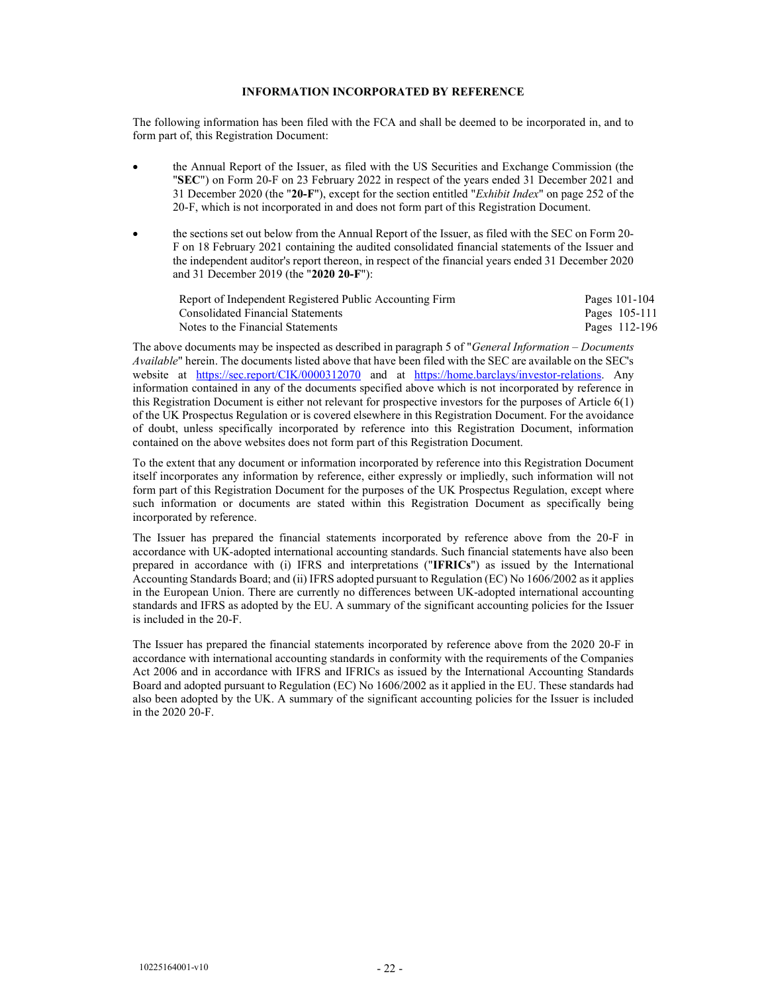### INFORMATION INCORPORATED BY REFERENCE

The following information has been filed with the FCA and shall be deemed to be incorporated in, and to form part of, this Registration Document:

- the Annual Report of the Issuer, as filed with the US Securities and Exchange Commission (the "SEC") on Form 20-F on 23 February 2022 in respect of the years ended 31 December 2021 and 31 December 2020 (the "20-F"), except for the section entitled "Exhibit Index" on page 252 of the 20-F, which is not incorporated in and does not form part of this Registration Document.
- the sections set out below from the Annual Report of the Issuer, as filed with the SEC on Form 20- F on 18 February 2021 containing the audited consolidated financial statements of the Issuer and the independent auditor's report thereon, in respect of the financial years ended 31 December 2020 and 31 December 2019 (the "2020 20-F"):

| Report of Independent Registered Public Accounting Firm | Pages 101-104 |
|---------------------------------------------------------|---------------|
| Consolidated Financial Statements                       | Pages 105-111 |
| Notes to the Financial Statements                       | Pages 112-196 |

The above documents may be inspected as described in paragraph 5 of "*General Information – Documents* Available" herein. The documents listed above that have been filed with the SEC are available on the SEC's website at https://sec.report/CIK/0000312070 and at https://home.barclays/investor-relations. Any information contained in any of the documents specified above which is not incorporated by reference in this Registration Document is either not relevant for prospective investors for the purposes of Article 6(1) of the UK Prospectus Regulation or is covered elsewhere in this Registration Document. For the avoidance of doubt, unless specifically incorporated by reference into this Registration Document, information contained on the above websites does not form part of this Registration Document.

To the extent that any document or information incorporated by reference into this Registration Document itself incorporates any information by reference, either expressly or impliedly, such information will not form part of this Registration Document for the purposes of the UK Prospectus Regulation, except where such information or documents are stated within this Registration Document as specifically being incorporated by reference.

The Issuer has prepared the financial statements incorporated by reference above from the 20-F in accordance with UK-adopted international accounting standards. Such financial statements have also been prepared in accordance with (i) IFRS and interpretations ("IFRICs") as issued by the International Accounting Standards Board; and (ii) IFRS adopted pursuant to Regulation (EC) No 1606/2002 as it applies in the European Union. There are currently no differences between UK-adopted international accounting standards and IFRS as adopted by the EU. A summary of the significant accounting policies for the Issuer is included in the 20-F.

The Issuer has prepared the financial statements incorporated by reference above from the 2020 20-F in accordance with international accounting standards in conformity with the requirements of the Companies Act 2006 and in accordance with IFRS and IFRICs as issued by the International Accounting Standards Board and adopted pursuant to Regulation (EC) No 1606/2002 as it applied in the EU. These standards had also been adopted by the UK. A summary of the significant accounting policies for the Issuer is included in the 2020 20-F.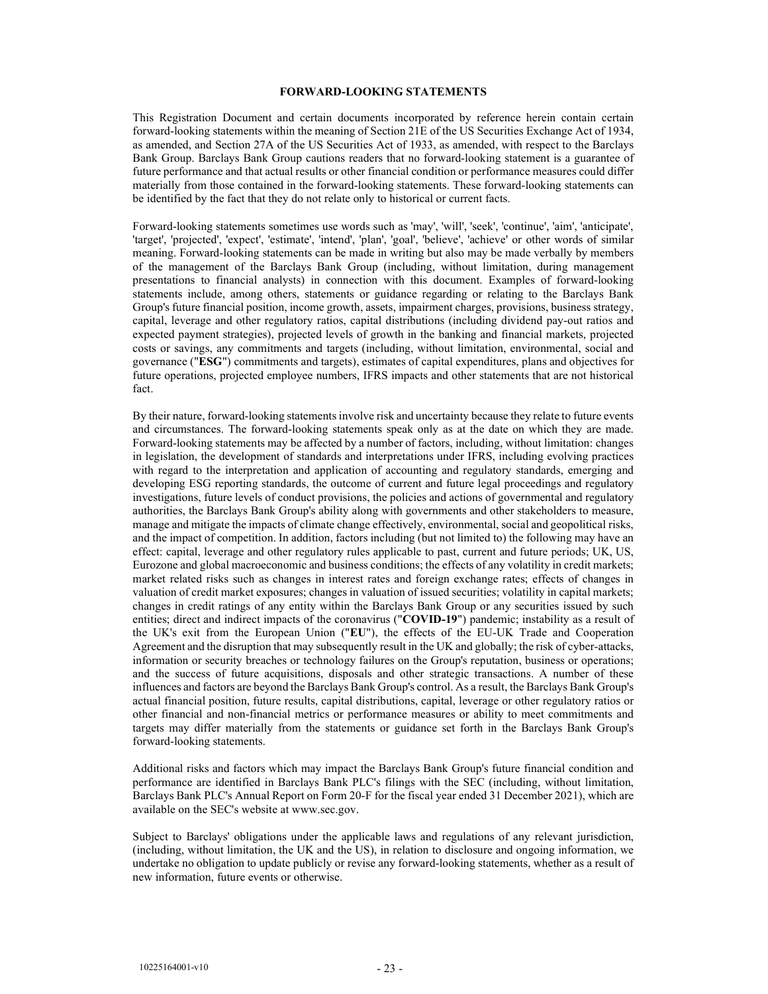#### FORWARD-LOOKING STATEMENTS

This Registration Document and certain documents incorporated by reference herein contain certain forward-looking statements within the meaning of Section 21E of the US Securities Exchange Act of 1934, as amended, and Section 27A of the US Securities Act of 1933, as amended, with respect to the Barclays Bank Group. Barclays Bank Group cautions readers that no forward-looking statement is a guarantee of future performance and that actual results or other financial condition or performance measures could differ materially from those contained in the forward-looking statements. These forward-looking statements can be identified by the fact that they do not relate only to historical or current facts.

Forward-looking statements sometimes use words such as 'may', 'will', 'seek', 'continue', 'aim', 'anticipate', 'target', 'projected', 'expect', 'estimate', 'intend', 'plan', 'goal', 'believe', 'achieve' or other words of similar meaning. Forward-looking statements can be made in writing but also may be made verbally by members of the management of the Barclays Bank Group (including, without limitation, during management presentations to financial analysts) in connection with this document. Examples of forward-looking statements include, among others, statements or guidance regarding or relating to the Barclays Bank Group's future financial position, income growth, assets, impairment charges, provisions, business strategy, capital, leverage and other regulatory ratios, capital distributions (including dividend pay-out ratios and expected payment strategies), projected levels of growth in the banking and financial markets, projected costs or savings, any commitments and targets (including, without limitation, environmental, social and governance ("ESG") commitments and targets), estimates of capital expenditures, plans and objectives for future operations, projected employee numbers, IFRS impacts and other statements that are not historical fact.

By their nature, forward-looking statements involve risk and uncertainty because they relate to future events and circumstances. The forward-looking statements speak only as at the date on which they are made. Forward-looking statements may be affected by a number of factors, including, without limitation: changes in legislation, the development of standards and interpretations under IFRS, including evolving practices with regard to the interpretation and application of accounting and regulatory standards, emerging and developing ESG reporting standards, the outcome of current and future legal proceedings and regulatory investigations, future levels of conduct provisions, the policies and actions of governmental and regulatory authorities, the Barclays Bank Group's ability along with governments and other stakeholders to measure, manage and mitigate the impacts of climate change effectively, environmental, social and geopolitical risks, and the impact of competition. In addition, factors including (but not limited to) the following may have an effect: capital, leverage and other regulatory rules applicable to past, current and future periods; UK, US, Eurozone and global macroeconomic and business conditions; the effects of any volatility in credit markets; market related risks such as changes in interest rates and foreign exchange rates; effects of changes in valuation of credit market exposures; changes in valuation of issued securities; volatility in capital markets; changes in credit ratings of any entity within the Barclays Bank Group or any securities issued by such entities; direct and indirect impacts of the coronavirus ("COVID-19") pandemic; instability as a result of the UK's exit from the European Union ("EU"), the effects of the EU-UK Trade and Cooperation Agreement and the disruption that may subsequently result in the UK and globally; the risk of cyber-attacks, information or security breaches or technology failures on the Group's reputation, business or operations; and the success of future acquisitions, disposals and other strategic transactions. A number of these influences and factors are beyond the Barclays Bank Group's control. As a result, the Barclays Bank Group's actual financial position, future results, capital distributions, capital, leverage or other regulatory ratios or other financial and non-financial metrics or performance measures or ability to meet commitments and targets may differ materially from the statements or guidance set forth in the Barclays Bank Group's forward-looking statements.

Additional risks and factors which may impact the Barclays Bank Group's future financial condition and performance are identified in Barclays Bank PLC's filings with the SEC (including, without limitation, Barclays Bank PLC's Annual Report on Form 20-F for the fiscal year ended 31 December 2021), which are available on the SEC's website at www.sec.gov.

Subject to Barclays' obligations under the applicable laws and regulations of any relevant jurisdiction, (including, without limitation, the UK and the US), in relation to disclosure and ongoing information, we undertake no obligation to update publicly or revise any forward-looking statements, whether as a result of new information, future events or otherwise.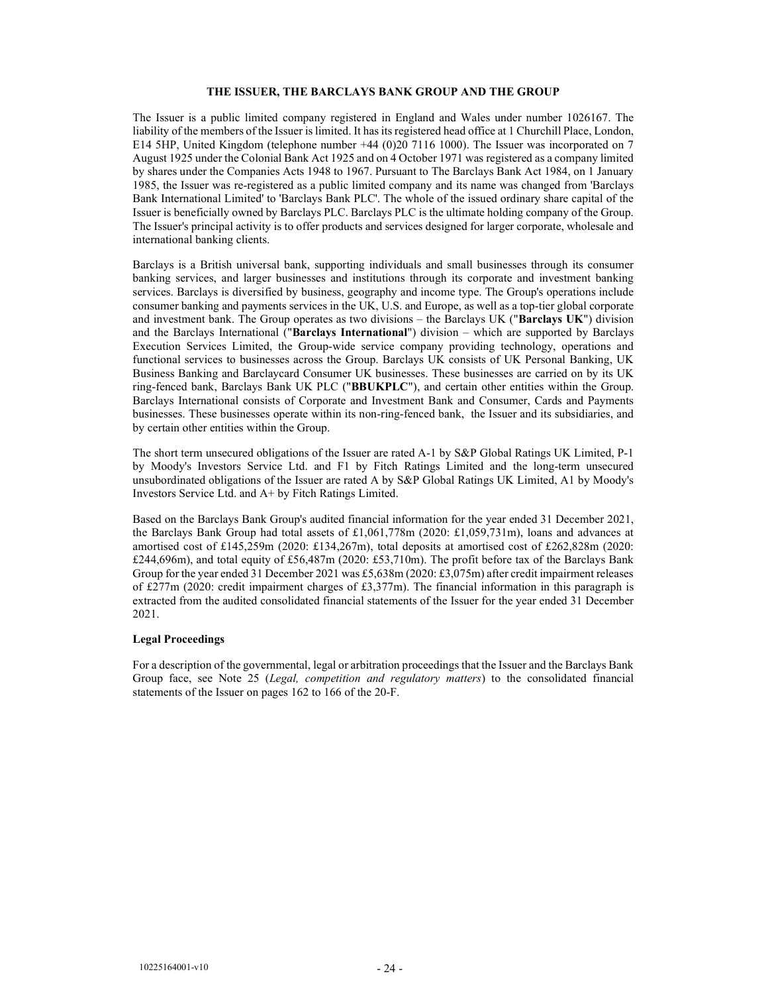### THE ISSUER, THE BARCLAYS BANK GROUP AND THE GROUP

The Issuer is a public limited company registered in England and Wales under number 1026167. The liability of the members of the Issuer is limited. It has its registered head office at 1 Churchill Place, London, E14 5HP, United Kingdom (telephone number +44 (0)20 7116 1000). The Issuer was incorporated on 7 August 1925 under the Colonial Bank Act 1925 and on 4 October 1971 was registered as a company limited by shares under the Companies Acts 1948 to 1967. Pursuant to The Barclays Bank Act 1984, on 1 January 1985, the Issuer was re-registered as a public limited company and its name was changed from 'Barclays Bank International Limited' to 'Barclays Bank PLC'. The whole of the issued ordinary share capital of the Issuer is beneficially owned by Barclays PLC. Barclays PLC is the ultimate holding company of the Group. The Issuer's principal activity is to offer products and services designed for larger corporate, wholesale and international banking clients.

Barclays is a British universal bank, supporting individuals and small businesses through its consumer banking services, and larger businesses and institutions through its corporate and investment banking services. Barclays is diversified by business, geography and income type. The Group's operations include consumer banking and payments services in the UK, U.S. and Europe, as well as a top-tier global corporate and investment bank. The Group operates as two divisions – the Barclays UK ("Barclays UK") division and the Barclays International ("Barclays International") division – which are supported by Barclays Execution Services Limited, the Group-wide service company providing technology, operations and functional services to businesses across the Group. Barclays UK consists of UK Personal Banking, UK Business Banking and Barclaycard Consumer UK businesses. These businesses are carried on by its UK ring-fenced bank, Barclays Bank UK PLC ("BBUKPLC"), and certain other entities within the Group. Barclays International consists of Corporate and Investment Bank and Consumer, Cards and Payments businesses. These businesses operate within its non-ring-fenced bank, the Issuer and its subsidiaries, and by certain other entities within the Group.

The short term unsecured obligations of the Issuer are rated A-1 by S&P Global Ratings UK Limited, P-1 by Moody's Investors Service Ltd. and F1 by Fitch Ratings Limited and the long-term unsecured unsubordinated obligations of the Issuer are rated A by S&P Global Ratings UK Limited, A1 by Moody's Investors Service Ltd. and A+ by Fitch Ratings Limited.

Based on the Barclays Bank Group's audited financial information for the year ended 31 December 2021, the Barclays Bank Group had total assets of £1,061,778m (2020: £1,059,731m), loans and advances at amortised cost of £145,259m (2020: £134,267m), total deposits at amortised cost of £262,828m (2020: £244,696m), and total equity of £56,487m (2020: £53,710m). The profit before tax of the Barclays Bank Group for the year ended 31 December 2021 was £5,638m (2020: £3,075m) after credit impairment releases of £277m (2020: credit impairment charges of £3,377m). The financial information in this paragraph is extracted from the audited consolidated financial statements of the Issuer for the year ended 31 December 2021.

#### Legal Proceedings

For a description of the governmental, legal or arbitration proceedings that the Issuer and the Barclays Bank Group face, see Note 25 (Legal, competition and regulatory matters) to the consolidated financial statements of the Issuer on pages 162 to 166 of the 20-F.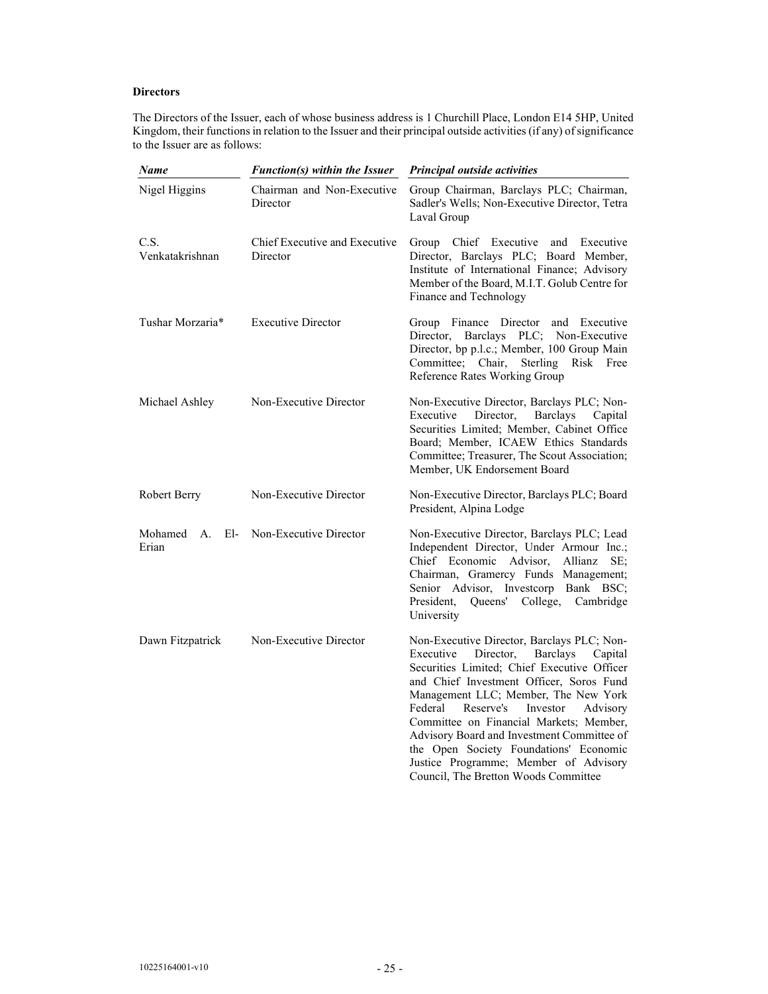# **Directors**

The Directors of the Issuer, each of whose business address is 1 Churchill Place, London E14 5HP, United Kingdom, their functions in relation to the Issuer and their principal outside activities (if any) of significance to the Issuer are as follows:

| Name                       | Function(s) within the Issuer             | Principal outside activities                                                                                                                                                                                                                                                                                                                                                                                                                                                                              |  |
|----------------------------|-------------------------------------------|-----------------------------------------------------------------------------------------------------------------------------------------------------------------------------------------------------------------------------------------------------------------------------------------------------------------------------------------------------------------------------------------------------------------------------------------------------------------------------------------------------------|--|
| Nigel Higgins              | Chairman and Non-Executive<br>Director    | Group Chairman, Barclays PLC; Chairman,<br>Sadler's Wells; Non-Executive Director, Tetra<br>Laval Group                                                                                                                                                                                                                                                                                                                                                                                                   |  |
| C.S.<br>Venkatakrishnan    | Chief Executive and Executive<br>Director | Group Chief Executive and<br>Executive<br>Director, Barclays PLC; Board Member,<br>Institute of International Finance; Advisory<br>Member of the Board, M.I.T. Golub Centre for<br>Finance and Technology                                                                                                                                                                                                                                                                                                 |  |
| Tushar Morzaria*           | <b>Executive Director</b>                 | Group Finance Director<br>and Executive<br>Director, Barclays PLC; Non-Executive<br>Director, bp p.l.c.; Member, 100 Group Main<br>Committee; Chair,<br>Sterling<br>Risk<br>Free<br>Reference Rates Working Group                                                                                                                                                                                                                                                                                         |  |
| Michael Ashley             | Non-Executive Director                    | Non-Executive Director, Barclays PLC; Non-<br>Executive<br>Director,<br><b>Barclays</b><br>Capital<br>Securities Limited; Member, Cabinet Office<br>Board; Member, ICAEW Ethics Standards<br>Committee; Treasurer, The Scout Association;<br>Member, UK Endorsement Board                                                                                                                                                                                                                                 |  |
| Robert Berry               | Non-Executive Director                    | Non-Executive Director, Barclays PLC; Board<br>President, Alpina Lodge                                                                                                                                                                                                                                                                                                                                                                                                                                    |  |
| El-<br>Mohamed A.<br>Erian | Non-Executive Director                    | Non-Executive Director, Barclays PLC; Lead<br>Independent Director, Under Armour Inc.;<br>Chief Economic Advisor,<br>Allianz<br>SE:<br>Chairman, Gramercy Funds Management;<br>Senior Advisor, Investcorp Bank BSC;<br>President,<br>Queens' College,<br>Cambridge<br>University                                                                                                                                                                                                                          |  |
| Dawn Fitzpatrick           | Non-Executive Director                    | Non-Executive Director, Barclays PLC; Non-<br>Director,<br><b>Barclays</b><br>Executive<br>Capital<br>Securities Limited; Chief Executive Officer<br>and Chief Investment Officer, Soros Fund<br>Management LLC; Member, The New York<br>Federal<br>Reserve's<br>Investor<br>Advisory<br>Committee on Financial Markets; Member,<br>Advisory Board and Investment Committee of<br>the Open Society Foundations' Economic<br>Justice Programme; Member of Advisory<br>Council, The Bretton Woods Committee |  |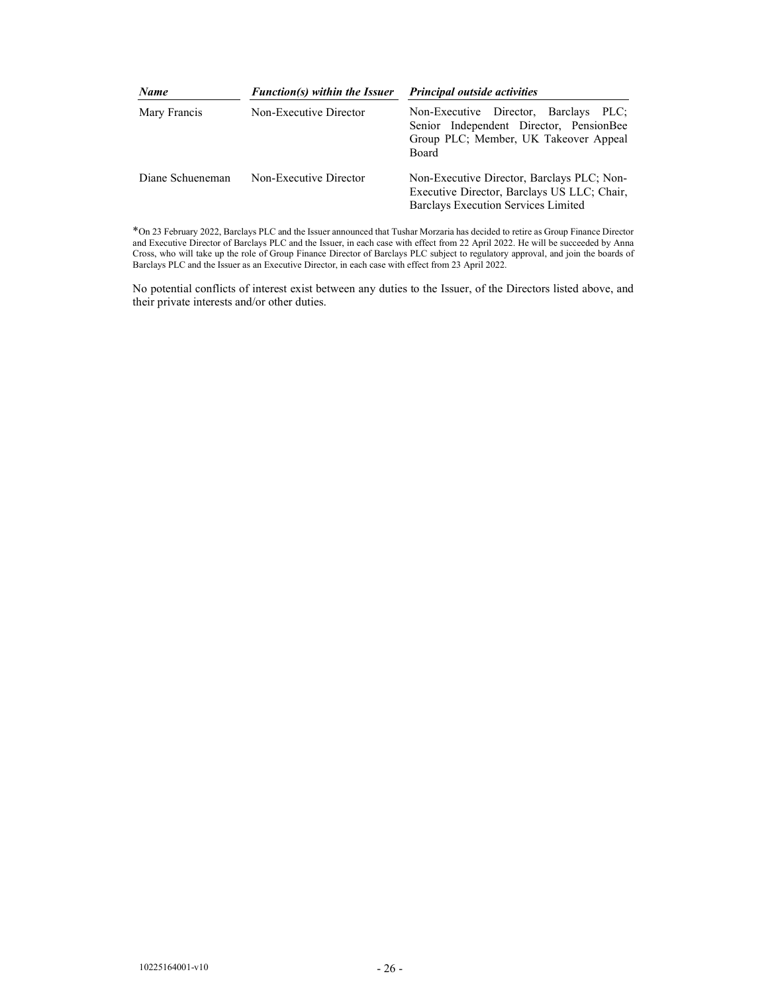| <b>Name</b>      | Function(s) within the Issuer<br>Non-Executive Director | <b>Principal outside activities</b><br>Non-Executive Director, Barclays<br>PLC:<br>Senior Independent Director, PensionBee<br>Group PLC; Member, UK Takeover Appeal<br>Board |  |
|------------------|---------------------------------------------------------|------------------------------------------------------------------------------------------------------------------------------------------------------------------------------|--|
| Mary Francis     |                                                         |                                                                                                                                                                              |  |
| Diane Schueneman | Non-Executive Director                                  | Non-Executive Director, Barclays PLC; Non-<br>Executive Director, Barclays US LLC; Chair,<br>Barclays Execution Services Limited                                             |  |

\*On 23 February 2022, Barclays PLC and the Issuer announced that Tushar Morzaria has decided to retire as Group Finance Director and Executive Director of Barclays PLC and the Issuer, in each case with effect from 22 April 2022. He will be succeeded by Anna Cross, who will take up the role of Group Finance Director of Barclays PLC subject to regulatory approval, and join the boards of Barclays PLC and the Issuer as an Executive Director, in each case with effect from 23 April 2022.

No potential conflicts of interest exist between any duties to the Issuer, of the Directors listed above, and their private interests and/or other duties.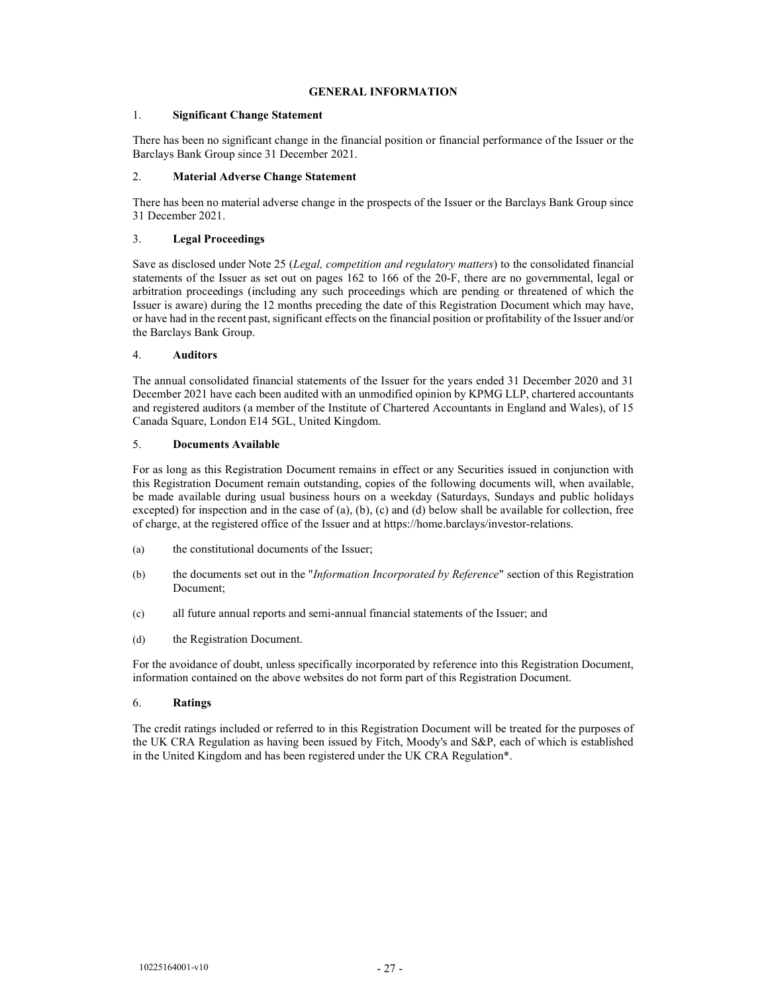### GENERAL INFORMATION

### 1. Significant Change Statement

There has been no significant change in the financial position or financial performance of the Issuer or the Barclays Bank Group since 31 December 2021.

### 2. Material Adverse Change Statement

There has been no material adverse change in the prospects of the Issuer or the Barclays Bank Group since 31 December 2021.

### 3. Legal Proceedings

Save as disclosed under Note 25 (Legal, competition and regulatory matters) to the consolidated financial statements of the Issuer as set out on pages 162 to 166 of the 20-F, there are no governmental, legal or arbitration proceedings (including any such proceedings which are pending or threatened of which the Issuer is aware) during the 12 months preceding the date of this Registration Document which may have, or have had in the recent past, significant effects on the financial position or profitability of the Issuer and/or the Barclays Bank Group.

### 4. Auditors

The annual consolidated financial statements of the Issuer for the years ended 31 December 2020 and 31 December 2021 have each been audited with an unmodified opinion by KPMG LLP, chartered accountants and registered auditors (a member of the Institute of Chartered Accountants in England and Wales), of 15 Canada Square, London E14 5GL, United Kingdom.

### 5. Documents Available

For as long as this Registration Document remains in effect or any Securities issued in conjunction with this Registration Document remain outstanding, copies of the following documents will, when available, be made available during usual business hours on a weekday (Saturdays, Sundays and public holidays excepted) for inspection and in the case of (a), (b), (c) and (d) below shall be available for collection, free of charge, at the registered office of the Issuer and at https://home.barclays/investor-relations.

- (a) the constitutional documents of the Issuer;
- (b) the documents set out in the "*Information Incorporated by Reference*" section of this Registration Document;
- (c) all future annual reports and semi-annual financial statements of the Issuer; and
- (d) the Registration Document.

For the avoidance of doubt, unless specifically incorporated by reference into this Registration Document, information contained on the above websites do not form part of this Registration Document.

### 6. Ratings

The credit ratings included or referred to in this Registration Document will be treated for the purposes of the UK CRA Regulation as having been issued by Fitch, Moody's and S&P, each of which is established in the United Kingdom and has been registered under the UK CRA Regulation\*.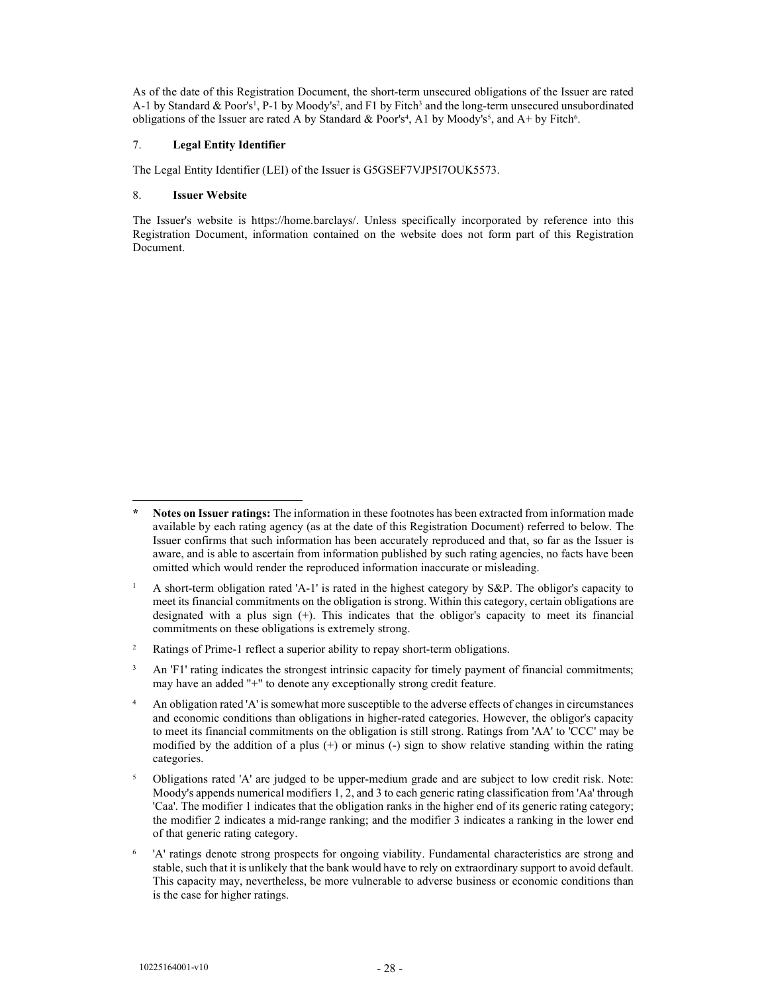As of the date of this Registration Document, the short-term unsecured obligations of the Issuer are rated A-1 by Standard & Poor's<sup>1</sup>, P-1 by Moody's<sup>2</sup>, and F1 by Fitch<sup>3</sup> and the long-term unsecured unsubordinated obligations of the Issuer are rated A by Standard & Poor's<sup>4</sup>, A1 by Moody's<sup>5</sup>, and A+ by Fitch<sup>6</sup>.

### 7. Legal Entity Identifier

The Legal Entity Identifier (LEI) of the Issuer is G5GSEF7VJP5I7OUK5573.

### 8. Issuer Website

The Issuer's website is https://home.barclays/. Unless specifically incorporated by reference into this Registration Document, information contained on the website does not form part of this Registration Document.

Notes on Issuer ratings: The information in these footnotes has been extracted from information made available by each rating agency (as at the date of this Registration Document) referred to below. The Issuer confirms that such information has been accurately reproduced and that, so far as the Issuer is aware, and is able to ascertain from information published by such rating agencies, no facts have been omitted which would render the reproduced information inaccurate or misleading.

<sup>1</sup> A short-term obligation rated 'A-1' is rated in the highest category by S&P. The obligor's capacity to meet its financial commitments on the obligation is strong. Within this category, certain obligations are designated with a plus sign (+). This indicates that the obligor's capacity to meet its financial commitments on these obligations is extremely strong.

<sup>2</sup> Ratings of Prime-1 reflect a superior ability to repay short-term obligations.

<sup>3</sup> An 'F1' rating indicates the strongest intrinsic capacity for timely payment of financial commitments; may have an added "+" to denote any exceptionally strong credit feature.

<sup>4</sup> An obligation rated 'A' is somewhat more susceptible to the adverse effects of changes in circumstances and economic conditions than obligations in higher-rated categories. However, the obligor's capacity to meet its financial commitments on the obligation is still strong. Ratings from 'AA' to 'CCC' may be modified by the addition of a plus  $(+)$  or minus  $(-)$  sign to show relative standing within the rating categories.

<sup>5</sup> Obligations rated 'A' are judged to be upper-medium grade and are subject to low credit risk. Note: Moody's appends numerical modifiers 1, 2, and 3 to each generic rating classification from 'Aa' through 'Caa'. The modifier 1 indicates that the obligation ranks in the higher end of its generic rating category; the modifier 2 indicates a mid-range ranking; and the modifier 3 indicates a ranking in the lower end of that generic rating category.

<sup>6</sup> 'A' ratings denote strong prospects for ongoing viability. Fundamental characteristics are strong and stable, such that it is unlikely that the bank would have to rely on extraordinary support to avoid default. This capacity may, nevertheless, be more vulnerable to adverse business or economic conditions than is the case for higher ratings.